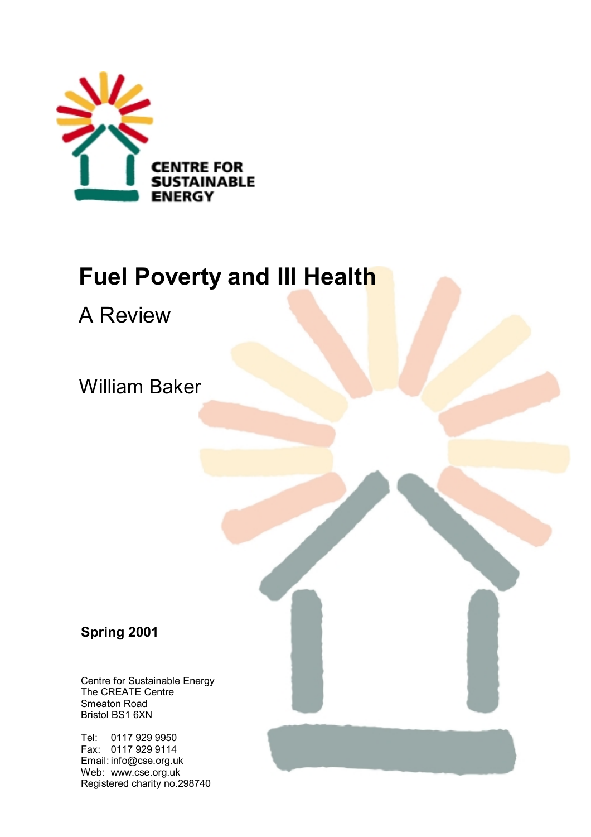

# **Fuel Poverty and Ill Health**

A Review

William Baker

# **Spring 2001**

Centre for Sustainable Energy The CREATE Centre Smeaton Road Bristol BS1 6XN

Tel: 0117 929 9950 Fax: 0117 929 9114 Email: info@cse.org.uk Web: www.cse.org.uk Registered charity no.298740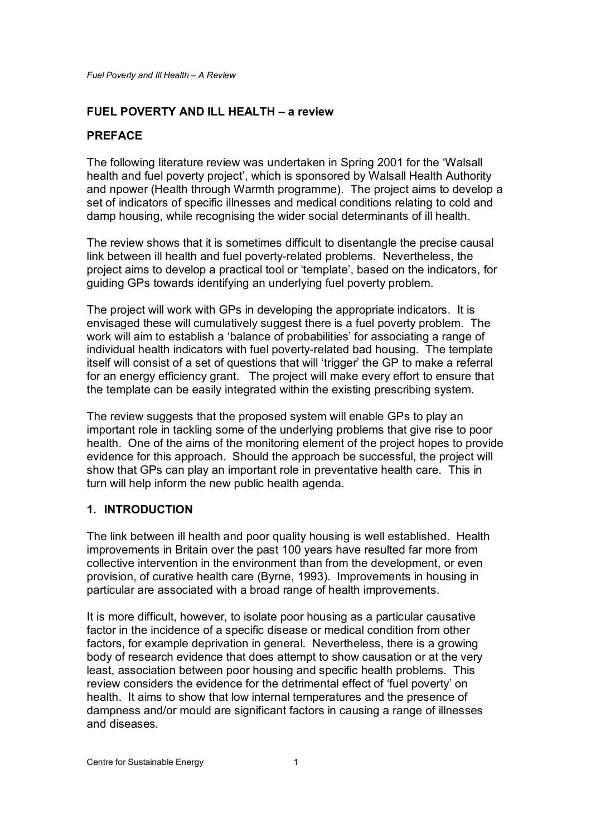### **FUEL POVERTY AND ILL HEALTH – a review**

# **PREFACE**

The following literature review was undertaken in Spring 2001 for the 'Walsall health and fuel poverty project', which is sponsored by Walsall Health Authority and npower (Health through Warmth programme). The project aims to develop a set of indicators of specific illnesses and medical conditions relating to cold and damp housing, while recognising the wider social determinants of ill health.

The review shows that it is sometimes difficult to disentangle the precise causal link between ill health and fuel poverty-related problems. Nevertheless, the project aims to develop a practical tool or 'template', based on the indicators, for guiding GPs towards identifying an underlying fuel poverty problem.

The project will work with GPs in developing the appropriate indicators. It is envisaged these will cumulatively suggest there is a fuel poverty problem. The work will aim to establish a 'balance of probabilities' for associating a range of individual health indicators with fuel poverty-related bad housing. The template itself will consist of a set of questions that will 'trigger' the GP to make a referral for an energy efficiency grant. The project will make every effort to ensure that the template can be easily integrated within the existing prescribing system.

The review suggests that the proposed system will enable GPs to play an important role in tackling some of the underlying problems that give rise to poor health. One of the aims of the monitoring element of the project hopes to provide evidence for this approach. Should the approach be successful, the project will show that GPs can play an important role in preventative health care. This in turn will help inform the new public health agenda.

#### **1. INTRODUCTION**

The link between ill health and poor quality housing is well established. Health improvements in Britain over the past 100 years have resulted far more from collective intervention in the environment than from the development, or even provision, of curative health care (Byrne, 1993). Improvements in housing in particular are associated with a broad range of health improvements.

It is more difficult, however, to isolate poor housing as a particular causative factor in the incidence of a specific disease or medical condition from other factors, for example deprivation in general. Nevertheless, there is a growing body of research evidence that does attempt to show causation or at the very least, association between poor housing and specific health problems. This review considers the evidence for the detrimental effect of 'fuel poverty' on health. It aims to show that low internal temperatures and the presence of dampness and/or mould are significant factors in causing a range of illnesses and diseases.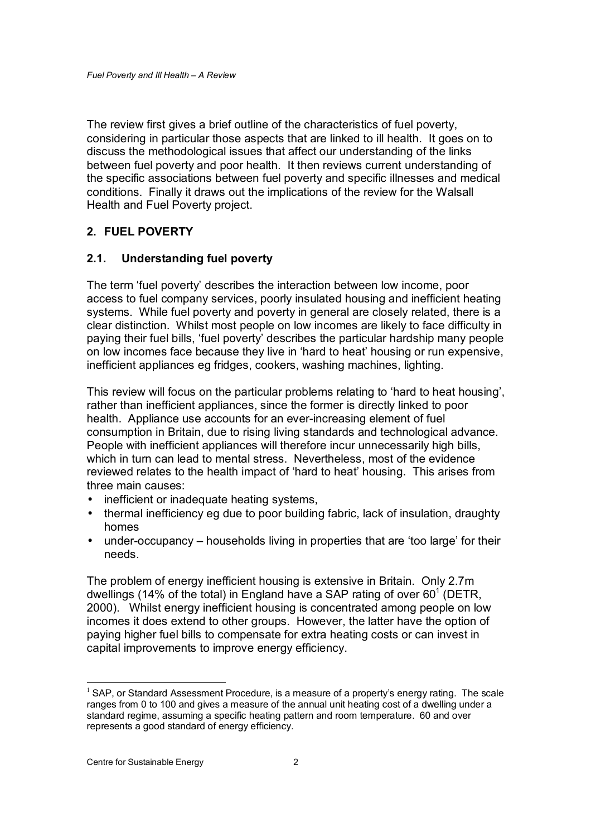The review first gives a brief outline of the characteristics of fuel poverty, considering in particular those aspects that are linked to ill health. It goes on to discuss the methodological issues that affect our understanding of the links between fuel poverty and poor health. It then reviews current understanding of the specific associations between fuel poverty and specific illnesses and medical conditions. Finally it draws out the implications of the review for the Walsall Health and Fuel Poverty project.

#### **2. FUEL POVERTY**

#### **2.1. Understanding fuel poverty**

The term 'fuel poverty' describes the interaction between low income, poor access to fuel company services, poorly insulated housing and inefficient heating systems. While fuel poverty and poverty in general are closely related, there is a clear distinction. Whilst most people on low incomes are likely to face difficulty in paying their fuel bills, 'fuel poverty' describes the particular hardship many people on low incomes face because they live in 'hard to heat' housing or run expensive, inefficient appliances eg fridges, cookers, washing machines, lighting.

This review will focus on the particular problems relating to 'hard to heat housing', rather than inefficient appliances, since the former is directly linked to poor health. Appliance use accounts for an ever-increasing element of fuel consumption in Britain, due to rising living standards and technological advance. People with inefficient appliances will therefore incur unnecessarily high bills, which in turn can lead to mental stress. Nevertheless, most of the evidence reviewed relates to the health impact of 'hard to heat' housing. This arises from three main causes:

- inefficient or inadequate heating systems.
- thermal inefficiency eg due to poor building fabric, lack of insulation, draughty homes
- under-occupancy households living in properties that are 'too large' for their needs.

The problem of energy inefficient housing is extensive in Britain. Only 2.7m dwellings (14% of the total) in England have a SAP rating of over 60<sup>1</sup> (DETR, 2000). Whilst energy inefficient housing is concentrated among people on low incomes it does extend to other groups. However, the latter have the option of paying higher fuel bills to compensate for extra heating costs or can invest in capital improvements to improve energy efficiency.

 $1$  SAP, or Standard Assessment Procedure, is a measure of a property's energy rating. The scale ranges from 0 to 100 and gives a measure of the annual unit heating cost of a dwelling under a standard regime, assuming a specific heating pattern and room temperature. 60 and over represents a good standard of energy efficiency.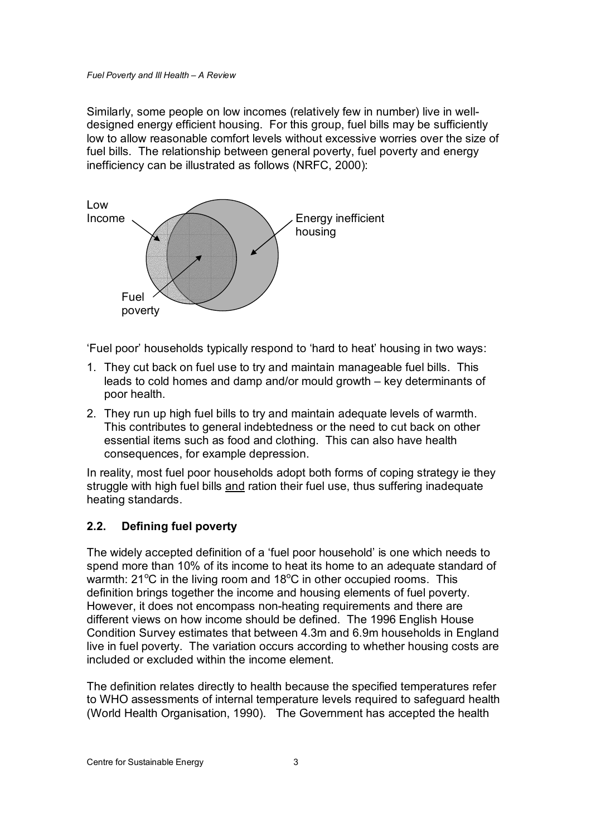Similarly, some people on low incomes (relatively few in number) live in welldesigned energy efficient housing. For this group, fuel bills may be sufficiently low to allow reasonable comfort levels without excessive worries over the size of fuel bills. The relationship between general poverty, fuel poverty and energy inefficiency can be illustrated as follows (NRFC, 2000):



'Fuel poor' households typically respond to 'hard to heat' housing in two ways:

- 1. They cut back on fuel use to try and maintain manageable fuel bills. This leads to cold homes and damp and/or mould growth – key determinants of poor health.
- 2. They run up high fuel bills to try and maintain adequate levels of warmth. This contributes to general indebtedness or the need to cut back on other essential items such as food and clothing. This can also have health consequences, for example depression.

In reality, most fuel poor households adopt both forms of coping strategy ie they struggle with high fuel bills and ration their fuel use, thus suffering inadequate heating standards.

# **2.2. Defining fuel poverty**

The widely accepted definition of a 'fuel poor household' is one which needs to spend more than 10% of its income to heat its home to an adequate standard of warmth:  $21^{\circ}$ C in the living room and  $18^{\circ}$ C in other occupied rooms. This definition brings together the income and housing elements of fuel poverty. However, it does not encompass non-heating requirements and there are different views on how income should be defined. The 1996 English House Condition Survey estimates that between 4.3m and 6.9m households in England live in fuel poverty. The variation occurs according to whether housing costs are included or excluded within the income element.

The definition relates directly to health because the specified temperatures refer to WHO assessments of internal temperature levels required to safeguard health (World Health Organisation, 1990). The Government has accepted the health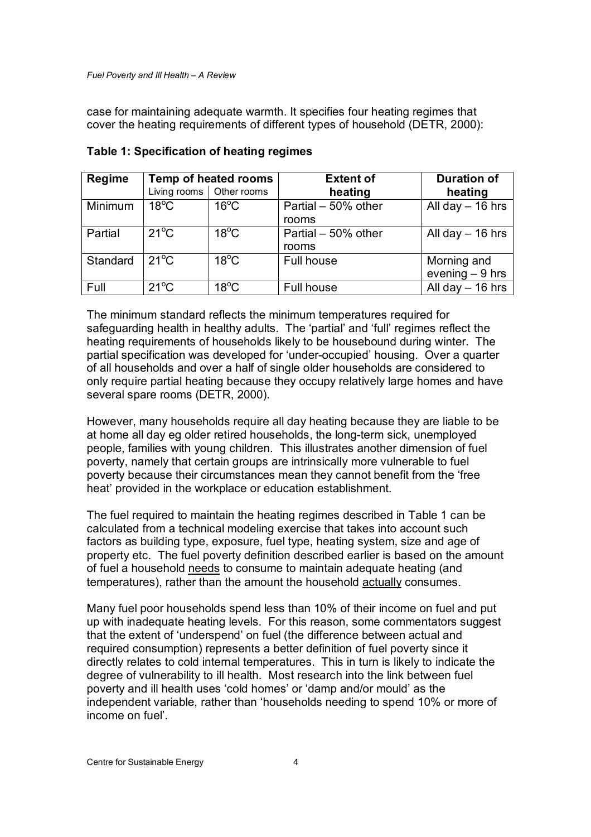case for maintaining adequate warmth. It specifies four heating regimes that cover the heating requirements of different types of household (DETR, 2000):

| <b>Regime</b> | Temp of heated rooms |                            | <b>Extent of</b>             | <b>Duration of</b>              |
|---------------|----------------------|----------------------------|------------------------------|---------------------------------|
|               |                      | Living rooms   Other rooms | heating                      | heating                         |
| Minimum       | $18^{\circ}$ C       | $16^{\circ}$ C             | Partial - 50% other<br>rooms | All day $-$ 16 hrs              |
| Partial       | $21^{\circ}$ C       | $18^{\circ}$ C             | Partial - 50% other<br>rooms | All day $-$ 16 hrs              |
| Standard      | $21^{\circ}$ C       | $18^{\circ}$ C             | Full house                   | Morning and<br>evening $-9$ hrs |
| Full          | $21^{\circ}$ C       | $18^{\circ}$ C             | Full house                   | All day $-$ 16 hrs              |

#### **Table 1: Specification of heating regimes**

The minimum standard reflects the minimum temperatures required for safeguarding health in healthy adults. The 'partial' and 'full' regimes reflect the heating requirements of households likely to be housebound during winter. The partial specification was developed for 'under-occupied' housing. Over a quarter of all households and over a half of single older households are considered to only require partial heating because they occupy relatively large homes and have several spare rooms (DETR, 2000).

However, many households require all day heating because they are liable to be at home all day eg older retired households, the long-term sick, unemployed people, families with young children. This illustrates another dimension of fuel poverty, namely that certain groups are intrinsically more vulnerable to fuel poverty because their circumstances mean they cannot benefit from the 'free heat' provided in the workplace or education establishment.

The fuel required to maintain the heating regimes described in Table 1 can be calculated from a technical modeling exercise that takes into account such factors as building type, exposure, fuel type, heating system, size and age of property etc. The fuel poverty definition described earlier is based on the amount of fuel a household needs to consume to maintain adequate heating (and temperatures), rather than the amount the household actually consumes.

Many fuel poor households spend less than 10% of their income on fuel and put up with inadequate heating levels. For this reason, some commentators suggest that the extent of 'underspend' on fuel (the difference between actual and required consumption) represents a better definition of fuel poverty since it directly relates to cold internal temperatures. This in turn is likely to indicate the degree of vulnerability to ill health. Most research into the link between fuel poverty and ill health uses 'cold homes' or 'damp and/or mould' as the independent variable, rather than 'households needing to spend 10% or more of income on fuel'.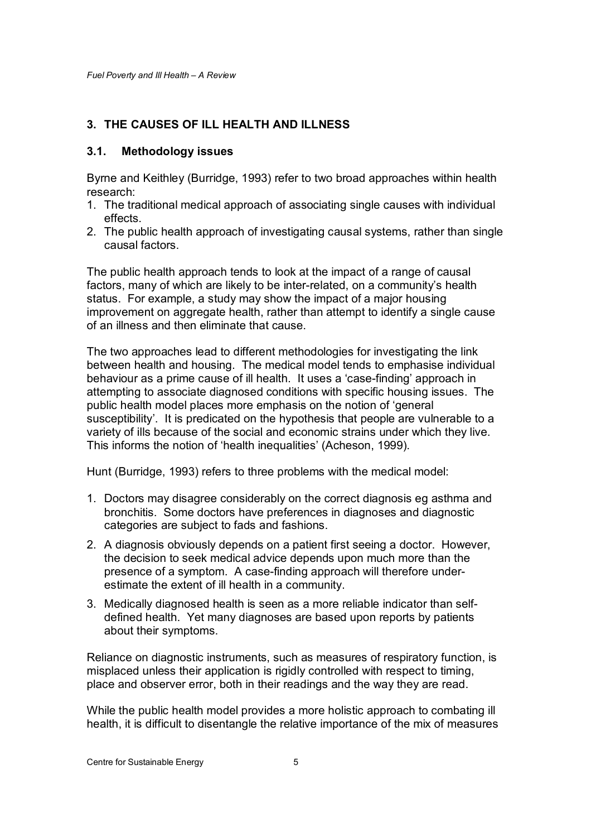# **3. THE CAUSES OF ILL HEALTH AND ILLNESS**

#### **3.1. Methodology issues**

Byrne and Keithley (Burridge, 1993) refer to two broad approaches within health research:

- 1. The traditional medical approach of associating single causes with individual effects.
- 2. The public health approach of investigating causal systems, rather than single causal factors.

The public health approach tends to look at the impact of a range of causal factors, many of which are likely to be inter-related, on a community's health status. For example, a study may show the impact of a major housing improvement on aggregate health, rather than attempt to identify a single cause of an illness and then eliminate that cause.

The two approaches lead to different methodologies for investigating the link between health and housing. The medical model tends to emphasise individual behaviour as a prime cause of ill health. It uses a 'case-finding' approach in attempting to associate diagnosed conditions with specific housing issues. The public health model places more emphasis on the notion of 'general susceptibility'. It is predicated on the hypothesis that people are vulnerable to a variety of ills because of the social and economic strains under which they live. This informs the notion of 'health inequalities' (Acheson, 1999).

Hunt (Burridge, 1993) refers to three problems with the medical model:

- 1. Doctors may disagree considerably on the correct diagnosis eg asthma and bronchitis. Some doctors have preferences in diagnoses and diagnostic categories are subject to fads and fashions.
- 2. A diagnosis obviously depends on a patient first seeing a doctor. However, the decision to seek medical advice depends upon much more than the presence of a symptom. A case-finding approach will therefore underestimate the extent of ill health in a community.
- 3. Medically diagnosed health is seen as a more reliable indicator than selfdefined health. Yet many diagnoses are based upon reports by patients about their symptoms.

Reliance on diagnostic instruments, such as measures of respiratory function, is misplaced unless their application is rigidly controlled with respect to timing, place and observer error, both in their readings and the way they are read.

While the public health model provides a more holistic approach to combating ill health, it is difficult to disentangle the relative importance of the mix of measures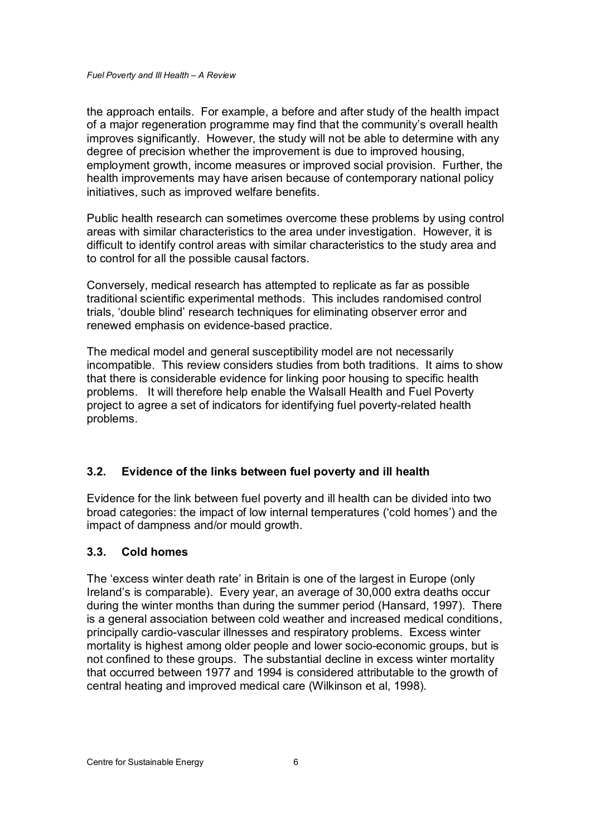the approach entails. For example, a before and after study of the health impact of a major regeneration programme may find that the community's overall health improves significantly. However, the study will not be able to determine with any degree of precision whether the improvement is due to improved housing, employment growth, income measures or improved social provision. Further, the health improvements may have arisen because of contemporary national policy initiatives, such as improved welfare benefits.

Public health research can sometimes overcome these problems by using control areas with similar characteristics to the area under investigation. However, it is difficult to identify control areas with similar characteristics to the study area and to control for all the possible causal factors.

Conversely, medical research has attempted to replicate as far as possible traditional scientific experimental methods. This includes randomised control trials, 'double blind' research techniques for eliminating observer error and renewed emphasis on evidence-based practice.

The medical model and general susceptibility model are not necessarily incompatible. This review considers studies from both traditions. It aims to show that there is considerable evidence for linking poor housing to specific health problems. It will therefore help enable the Walsall Health and Fuel Poverty project to agree a set of indicators for identifying fuel poverty-related health problems.

#### **3.2. Evidence of the links between fuel poverty and ill health**

Evidence for the link between fuel poverty and ill health can be divided into two broad categories: the impact of low internal temperatures ('cold homes') and the impact of dampness and/or mould growth.

#### **3.3. Cold homes**

The 'excess winter death rate' in Britain is one of the largest in Europe (only Ireland's is comparable). Every year, an average of 30,000 extra deaths occur during the winter months than during the summer period (Hansard, 1997). There is a general association between cold weather and increased medical conditions, principally cardio-vascular illnesses and respiratory problems. Excess winter mortality is highest among older people and lower socio-economic groups, but is not confined to these groups. The substantial decline in excess winter mortality that occurred between 1977 and 1994 is considered attributable to the growth of central heating and improved medical care (Wilkinson et al, 1998).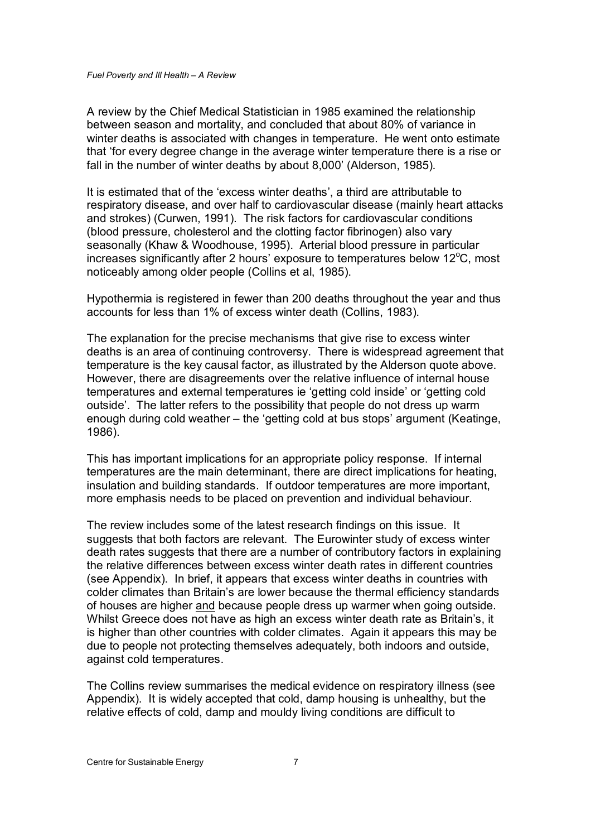A review by the Chief Medical Statistician in 1985 examined the relationship between season and mortality, and concluded that about 80% of variance in winter deaths is associated with changes in temperature. He went onto estimate that 'for every degree change in the average winter temperature there is a rise or fall in the number of winter deaths by about 8,000' (Alderson, 1985).

It is estimated that of the 'excess winter deaths', a third are attributable to respiratory disease, and over half to cardiovascular disease ( mainly heart attacks and strokes) (Curwen, 1991). The risk factors for cardiovascular conditions (blood pressure, cholesterol and the clotting factor fibrinogen) also vary seasonally (Khaw & Woodhouse, 1995). Arterial blood pressure in particular increases significantly after 2 hours' exposure to temperatures below 12 $\degree$ C, most noticeably among older people (Collins et al, 1985).

Hypothermia is registered in fewer than 200 deaths throughout the year and thus accounts for less than 1% of excess winter death (Collins, 1983).

The explanation for the precise mechanisms that give rise to excess winter deaths is an area of continuing controversy. There is widespread agreement that temperature is the key causal factor, as illustrated by the Alderson quote above. However, there are disagreements over the relative influence of internal house temperatures and external temperatures ie 'getting cold inside' or 'getting cold outside'. The latter refers to the possibility that people do not dress up warm enough during cold weather – the 'getting cold at bus stops' argument (Keatinge, 1986).

This has important implications for an appropriate policy response. If internal temperatures are the main determinant, there are direct implications for heating, insulation and building standards. If outdoor temperatures are more important, more emphasis needs to be placed on prevention and individual behaviour.

The review includes some of the latest research findings on this issue. It suggests that both factors are relevant. The Eurowinter study of excess winter death rates suggests that there are a number of contributory factors in explaining the relative differences between excess winter death rates in different countries (see Appendix). In brief, it appears that excess winter deaths in countries with colder climates than Britain's are lower because the thermal efficiency standards of houses are higher and because people dress up warmer when going outside. Whilst Greece does not have as high an excess winter death rate as Britain's, it is higher than other countries with colder climates. Again it appears this may be due to people not protecting themselves adequately, both indoors and outside, against cold temperatures.

The Collins review summarises the medical evidence on respiratory illness (see Appendix). It is widely accepted that cold, damp housing is unhealthy, but the relative effects of cold, damp and mouldy living conditions are difficult to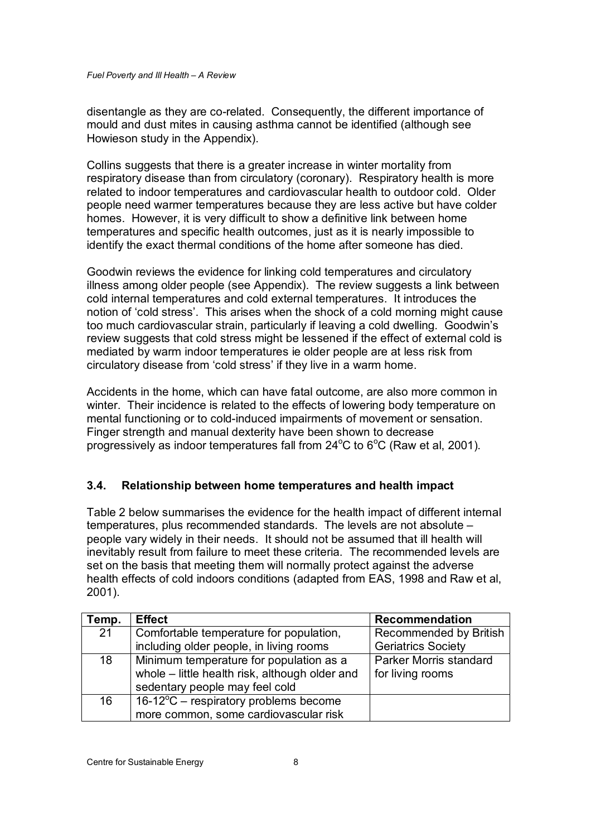disentangle as they are co-related. Consequently, the different importance of mould and dust mites in causing asthma cannot be identified (although see Howieson study in the Appendix).

Collins suggests that there is a greater increase in winter mortality from respiratory disease than from circulatory (coronary). Respiratory health is more related to indoor temperatures and cardiovascular health to outdoor cold. Older people need warmer temperatures because they are less active but have colder homes. However, it is very difficult to show a definitive link between home temperatures and specific health outcomes, just as it is nearly impossible to identify the exact thermal conditions of the home after someone has died.

Goodwin reviews the evidence for linking cold temperatures and circulatory illness among older people (see Appendix). The review suggests a link between cold internal temperatures and cold external temperatures. It introduces the notion of 'cold stress'. This arises when the shock of a cold morning might cause too much cardiovascular strain, particularly if leaving a cold dwelling. Goodwin's review suggests that cold stress might be lessened if the effect of external cold is mediated by warm indoor temperatures ie older people are at less risk from circulatory disease from 'cold stress' if they live in a warm home.

Accidents in the home, which can have fatal outcome, are also more common in winter. Their incidence is related to the effects of lowering body temperature on mental functioning or to cold-induced impairments of movement or sensation. Finger strength and manual dexterity have been shown to decrease progressively as indoor temperatures fall from  $24^{\circ}$ C to 6°C (Raw et al, 2001).

# **3.4. Relationship between home temperatures and health impact**

Table 2 below summarises the evidence for the health impact of different internal temperatures, plus recommended standards. The levels are not absolute – people vary widely in their needs. It should not be assumed that ill health will inevitably result from failure to meet these criteria. The recommended levels are set on the basis that meeting them will normally protect against the adverse health effects of cold indoors conditions (adapted from EAS, 1998 and Raw et al, 2001).

| Temp. | <b>Effect</b>                                   | Recommendation            |
|-------|-------------------------------------------------|---------------------------|
| 21    | Comfortable temperature for population,         | Recommended by British    |
|       | including older people, in living rooms         | <b>Geriatrics Society</b> |
| 18    | Minimum temperature for population as a         | Parker Morris standard    |
|       | whole - little health risk, although older and  | for living rooms          |
|       | sedentary people may feel cold                  |                           |
| 16    | $16-12^{\circ}$ C – respiratory problems become |                           |
|       | more common, some cardiovascular risk           |                           |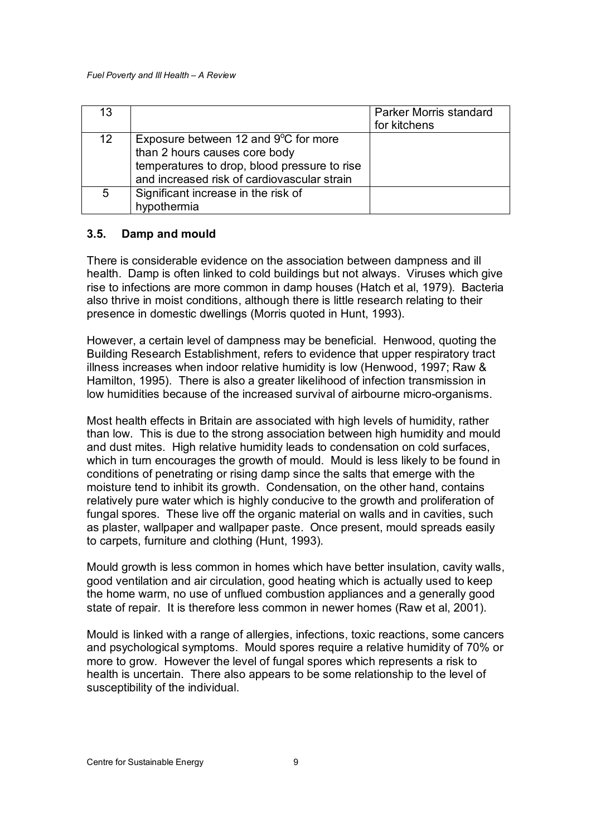| 13 |                                                                                                                                                                                | Parker Morris standard<br>for kitchens |
|----|--------------------------------------------------------------------------------------------------------------------------------------------------------------------------------|----------------------------------------|
| 12 | Exposure between 12 and $9^{\circ}$ C for more<br>than 2 hours causes core body<br>temperatures to drop, blood pressure to rise<br>and increased risk of cardiovascular strain |                                        |
| 5  | Significant increase in the risk of<br>hypothermia                                                                                                                             |                                        |

#### **3.5. Damp and mould**

There is considerable evidence on the association between dampness and ill health. Damp is often linked to cold buildings but not always. Viruses which give rise to infections are more common in damp houses (Hatch et al, 1979). Bacteria also thrive in moist conditions, although there is little research relating to their presence in domestic dwellings (Morris quoted in Hunt, 1993).

However, a certain level of dampness may be beneficial. Henwood, quoting the Building Research Establishment, refers to evidence that upper respiratory tract illness increases when indoor relative humidity is low (Henwood, 1997; Raw & Hamilton, 1995). There is also a greater likelihood of infection transmission in low humidities because of the increased survival of airbourne micro-organisms.

Most health effects in Britain are associated with high levels of humidity, rather than low. This is due to the strong association between high humidity and mould and dust mites. High relative humidity leads to condensation on cold surfaces, which in turn encourages the growth of mould. Mould is less likely to be found in conditions of penetrating or rising damp since the salts that emerge with the moisture tend to inhibit its growth. Condensation, on the other hand, contains relatively pure water which is highly conducive to the growth and proliferation of fungal spores. These live off the organic material on walls and in cavities, such as plaster, wallpaper and wallpaper paste. Once present, mould spreads easily to carpets, furniture and clothing (Hunt, 1993).

Mould growth is less common in homes which have better insulation, cavity walls, good ventilation and air circulation, good heating which is actually used to keep the home warm, no use of unflued combustion appliances and a generally good state of repair. It is therefore less common in newer homes (Raw et al, 2001).

Mould is linked with a range of allergies, infections, toxic reactions, some cancers and psychological symptoms. Mould spores require a relative humidity of 70% or more to grow. However the level of fungal spores which represents a risk to health is uncertain. There also appears to be some relationship to the level of susceptibility of the individual.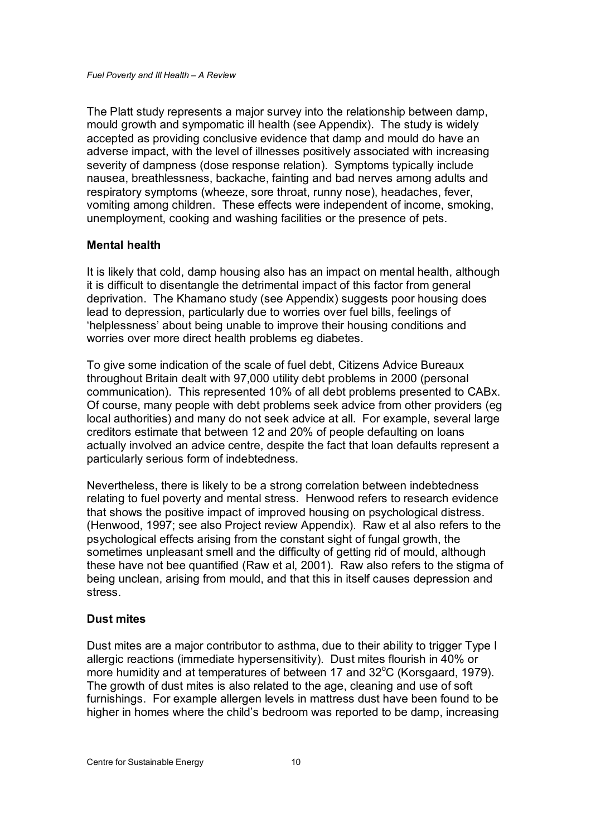The Platt study represents a major survey into the relationship between damp, mould growth and sympomatic ill health (see Appendix). The study is widely accepted as providing conclusive evidence that damp and mould do have an adverse impact, with the level of illnesses positively associated with increasing severity of dampness (dose response relation). Symptoms typically include nausea, breathlessness, backache, fainting and bad nerves among adults and respiratory symptoms (wheeze, sore throat, runny nose), headaches, fever, vomiting among children. These effects were independent of income, smoking, unemployment, cooking and washing facilities or the presence of pets.

#### **Mental health**

It is likely that cold, damp housing also has an impact on mental health, although it is difficult to disentangle the detrimental impact of this factor from general deprivation. The Khamano study (see Appendix) suggests poor housing does lead to depression, particularly due to worries over fuel bills, feelings of 'helplessness' about being unable to improve their housing conditions and worries over more direct health problems eg diabetes.

To give some indication of the scale of fuel debt, Citizens Advice Bureaux throughout Britain dealt with 97,000 utility debt problems in 2000 (personal communication). This represented 10% of all debt problems presented to CABx. Of course, many people with debt problems seek advice from other providers (eg local authorities) and many do not seek advice at all. For example, several large creditors estimate that between 12 and 20% of people defaulting on loans actually involved an advice centre, despite the fact that loan defaults represent a particularly serious form of indebtedness.

Nevertheless, there is likely to be a strong correlation between indebtedness relating to fuel poverty and mental stress. Henwood refers to research evidence that shows the positive impact of improved housing on psychological distress. (Henwood, 1997; see also Project review Appendix). Raw et al also refers to the psychological effects arising from the constant sight of fungal growth, the sometimes unpleasant smell and the difficulty of getting rid of mould, although these have not bee quantified (Raw et al, 2001). Raw also refers to the stigma of being unclean, arising from mould, and that this in itself causes depression and stress.

#### **Dust mites**

Dust mites are a major contributor to asthma, due to their ability to trigger Type I allergic reactions (immediate hypersensitivity). Dust mites flourish in 40% or more humidity and at temperatures of between 17 and 32°C (Korsgaard, 1979). The growth of dust mites is also related to the age, cleaning and use of soft furnishings. For example allergen levels in mattress dust have been found to be higher in homes where the child's bedroom was reported to be damp, increasing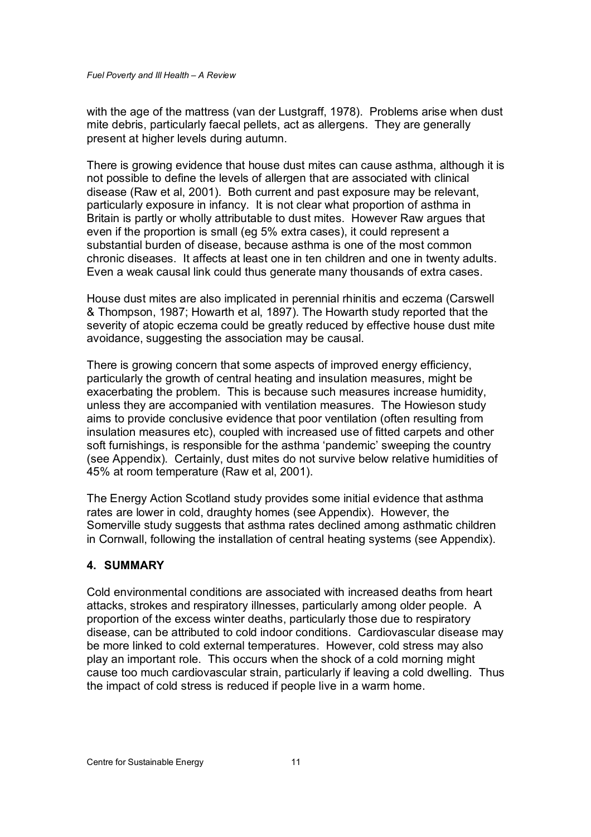with the age of the mattress (van der Lustgraff, 1978). Problems arise when dust mite debris, particularly faecal pellets, act as allergens. They are generally present at higher levels during autumn.

There is growing evidence that house dust mites can cause asthma, although it is not possible to define the levels of allergen that are associated with clinical disease (Raw et al, 2001). Both current and past exposure may be relevant, particularly exposure in infancy. It is not clear what proportion of asthma in Britain is partly or wholly attributable to dust mites. However Raw argues that even if the proportion is small (eg 5% extra cases), it could represent a substantial burden of disease, because asthma is one of the most common chronic diseases. It affects at least one in ten children and one in twenty adults. Even a weak causal link could thus generate many thousands of extra cases.

House dust mites are also implicated in perennial rhinitis and eczema (Carswell & Thompson, 1987; Howarth et al, 1897). The Howarth study reported that the severity of atopic eczema could be greatly reduced by effective house dust mite avoidance, suggesting the association may be causal.

There is growing concern that some aspects of improved energy efficiency, particularly the growth of central heating and insulation measures, might be exacerbating the problem. This is because such measures increase humidity, unless they are accompanied with ventilation measures. The Howieson study aims to provide conclusive evidence that poor ventilation (often resulting from insulation measures etc), coupled with increased use of fitted carpets and other soft furnishings, is responsible for the asthma 'pandemic' sweeping the country (see Appendix). Certainly, dust mites do not survive below relative humidities of 45% at room temperature (Raw et al, 2001).

The Energy Action Scotland study provides some initial evidence that asthma rates are lower in cold, draughty homes (see Appendix). However, the Somerville study suggests that asthma rates declined among asthmatic children in Cornwall, following the installation of central heating systems (see Appendix).

#### **4. SUMMARY**

Cold environmental conditions are associated with increased deaths from heart attacks, strokes and respiratory illnesses, particularly among older people. A proportion of the excess winter deaths, particularly those due to respiratory disease, can be attributed to cold indoor conditions. Cardiovascular disease may be more linked to cold external temperatures. However, cold stress may also play an important role. This occurs when the shock of a cold morning might cause too much cardiovascular strain, particularly if leaving a cold dwelling. Thus the impact of cold stress is reduced if people live in a warm home.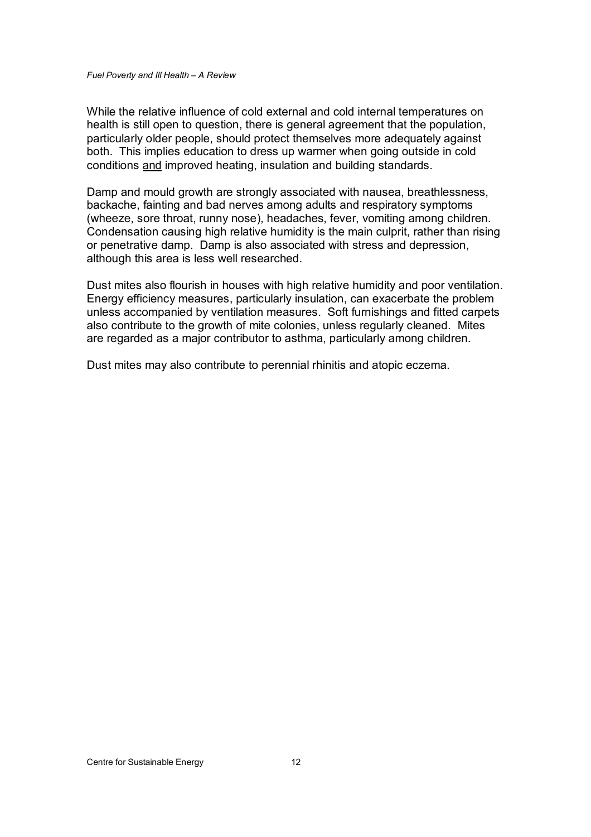While the relative influence of cold external and cold internal temperatures on health is still open to question, there is general agreement that the population, particularly older people, should protect themselves more adequately against both. This implies education to dress up warmer when going outside in cold conditions and improved heating, insulation and building standards.

Damp and mould growth are strongly associated with nausea, breathlessness, backache, fainting and bad nerves among adults and respiratory symptoms (wheeze, sore throat, runny nose), headaches, fever, vomiting among children. Condensation causing high relative humidity is the main culprit, rather than rising or penetrative damp. Damp is also associated with stress and depression, although this area is less well researched.

Dust mites also flourish in houses with high relative humidity and poor ventilation. Energy efficiency measures, particularly insulation, can exacerbate the problem unless accompanied by ventilation measures. Soft furnishings and fitted carpets also contribute to the growth of mite colonies, unless regularly cleaned. Mites are regarded as a major contributor to asthma, particularly among children.

Dust mites may also contribute to perennial rhinitis and atopic eczema.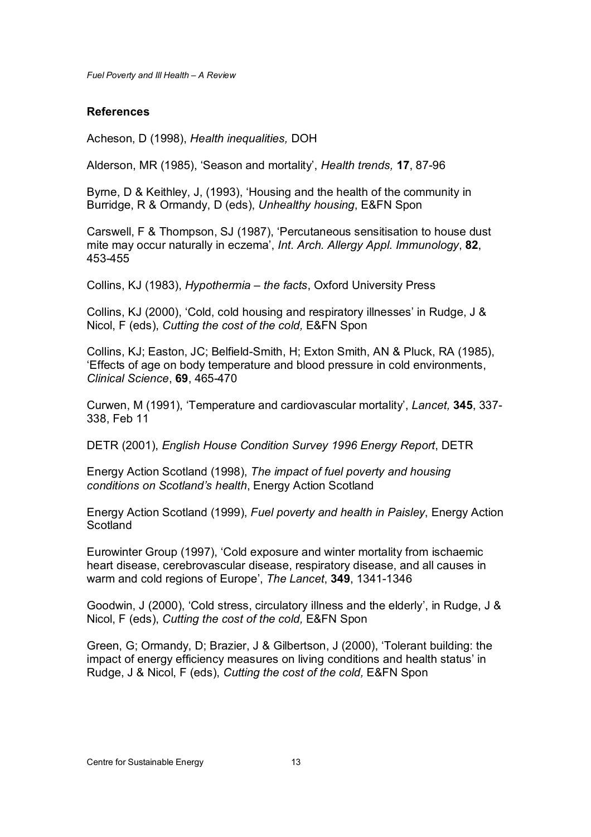#### **References**

Acheson, D (1998), *Health inequalities,* DOH

Alderson, MR (1985), 'Season and mortality', *Health trends,* **17**, 87-96

Byrne, D & Keithley, J, (1993), 'Housing and the health of the community in Burridge, R & Ormandy, D (eds), *Unhealthy housing*, E&FN Spon

Carswell, F & Thompson, SJ (1987), 'Percutaneous sensitisation to house dust mite may occur naturally in eczema', *Int. Arch. Allergy Appl. Immunology*, **82**, 453-455

Collins, KJ (1983), *Hypothermia – the facts*, Oxford University Press

Collins, KJ (2000), 'Cold, cold housing and respiratory illnesses' in Rudge, J & Nicol, F (eds), *Cutting the cost of the cold,* E&FN Spon

Collins, KJ; Easton, JC; Belfield-Smith, H; Exton Smith, AN & Pluck, RA (1985), 'Effects of age on body temperature and blood pressure in cold environments, *Clinical Science*, **69**, 465-470

Curwen, M (1991), 'Temperature and cardiovascular mortality', *Lancet,* **345**, 337- 338, Feb 11

DETR (2001), *English House Condition Survey 1996 Energy Report*, DETR

Energy Action Scotland (1998), *The impact of fuel poverty and housing conditions on Scotland's health*, Energy Action Scotland

Energy Action Scotland (1999), *Fuel poverty and health in Paisley*, Energy Action **Scotland** 

Eurowinter Group (1997), 'Cold exposure and winter mortality from ischaemic heart disease, cerebrovascular disease, respiratory disease, and all causes in warm and cold regions of Europe', *The Lancet*, **349**, 1341-1346

Goodwin, J (2000), 'Cold stress, circulatory illness and the elderly', in Rudge, J & Nicol, F (eds), *Cutting the cost of the cold,* E&FN Spon

Green, G; Ormandy, D; Brazier, J & Gilbertson, J (2000), 'Tolerant building: the impact of energy efficiency measures on living conditions and health status' in Rudge, J & Nicol, F (eds), *Cutting the cost of the cold,* E&FN Spon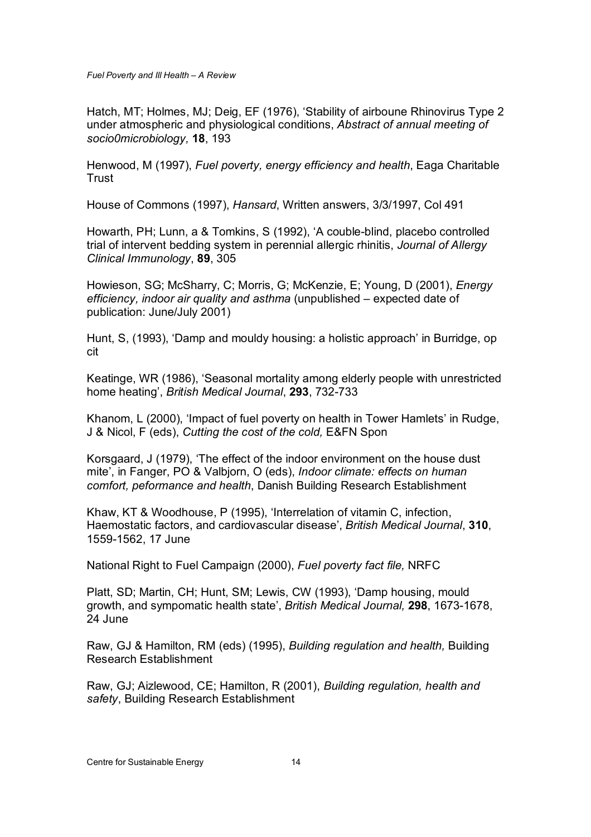Hatch, MT; Holmes, MJ; Deig, EF (1976), 'Stability of airboune Rhinovirus Type 2 under atmospheric and physiological conditions, *Abstract of annual meeting of socio0microbiology,* **18**, 193

Henwood, M (1997), *Fuel poverty, energy efficiency and health*, Eaga Charitable Trust

House of Commons (1997), *Hansard*, Written answers, 3/3/1997, Col 491

Howarth, PH; Lunn, a & Tomkins, S (1992), 'A couble-blind, placebo controlled trial of intervent bedding system in perennial allergic rhinitis, *Journal of Allergy Clinical Immunology*, **89**, 305

Howieson, SG; McSharry, C; Morris, G; McKenzie, E; Young, D (2001), *Energy efficiency, indoor air quality and asthma* (unpublished – expected date of publication: June/July 2001)

Hunt, S, (1993), 'Damp and mouldy housing: a holistic approach' in Burridge, op cit

Keatinge, WR (1986), 'Seasonal mortality among elderly people with unrestricted home heating', *British Medical Journal*, **293**, 732-733

Khanom, L (2000), 'Impact of fuel poverty on health in Tower Hamlets' in Rudge, J & Nicol, F (eds), *Cutting the cost of the cold,* E&FN Spon

Korsgaard, J (1979), 'The effect of the indoor environment on the house dust mite', in Fanger, PO & Valbjorn, O (eds), *Indoor climate: effects on human comfort, peformance and health*, Danish Building Research Establishment

Khaw, KT & Woodhouse, P (1995), 'Interrelation of vitamin C, infection, Haemostatic factors, and cardiovascular disease', *British Medical Journal*, **310**, 1559-1562, 17 June

National Right to Fuel Campaign (2000), *Fuel poverty fact file,* NRFC

Platt, SD; Martin, CH; Hunt, SM; Lewis, CW (1993), 'Damp housing, mould growth, and sympomatic health state', *British Medical Journal,* **298**, 1673-1678, 24 June

Raw, GJ & Hamilton, RM (eds) (1995), *Building regulation and health,* Building Research Establishment

Raw, GJ; Aizlewood, CE; Hamilton, R (2001), *Building regulation, health and safety*, Building Research Establishment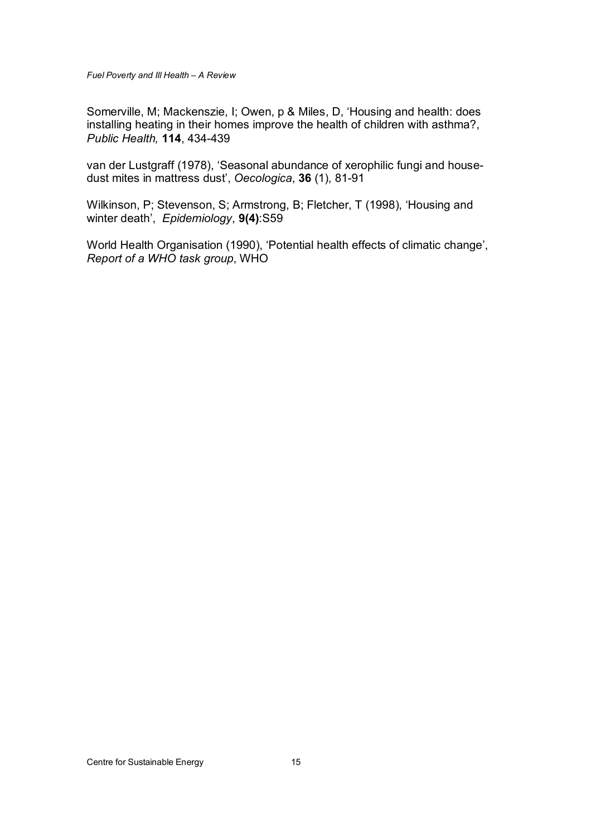Somerville, M; Mackenszie, I; Owen, p & Miles, D, 'Housing and health: does installing heating in their homes improve the health of children with asthma?, *Public Health,* **114**, 434-439

van der Lustgraff (1978), 'Seasonal abundance of xerophilic fungi and housedust mites in mattress dust', *Oecologica*, **36** (1), 81-91

Wilkinson, P; Stevenson, S; Armstrong, B; Fletcher, T (1998), 'Housing and winter death', *Epidemiology*, **9(4)**:S59

World Health Organisation (1990), 'Potential health effects of climatic change', *Report of a WHO task group*, WHO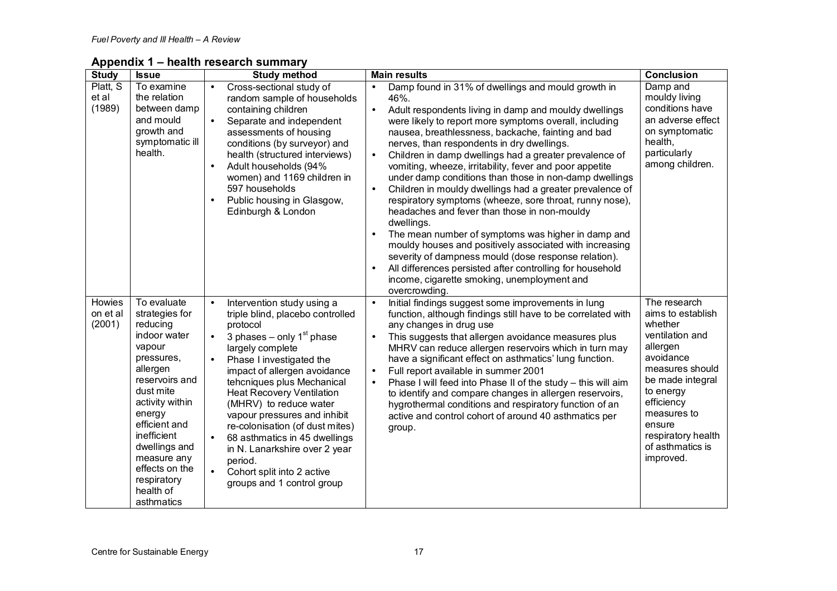**Appendix 1 – health research summary** 

| <b>Study</b>                 | <b>Issue</b>                                                                                                                                                                                                                                                                          | <b>Study method</b>                                                                                                                                                                                                                                                                                                                                                                                                                                                                                                                                   | <b>Main results</b>                                                                                                                                                                                                                                                                                                                                                                                                                                                                                                                                                                                                                                                                                                                                                                                                                                                                                                                                                                                                          | <b>Conclusion</b>                                                                                                                                                                                                                          |
|------------------------------|---------------------------------------------------------------------------------------------------------------------------------------------------------------------------------------------------------------------------------------------------------------------------------------|-------------------------------------------------------------------------------------------------------------------------------------------------------------------------------------------------------------------------------------------------------------------------------------------------------------------------------------------------------------------------------------------------------------------------------------------------------------------------------------------------------------------------------------------------------|------------------------------------------------------------------------------------------------------------------------------------------------------------------------------------------------------------------------------------------------------------------------------------------------------------------------------------------------------------------------------------------------------------------------------------------------------------------------------------------------------------------------------------------------------------------------------------------------------------------------------------------------------------------------------------------------------------------------------------------------------------------------------------------------------------------------------------------------------------------------------------------------------------------------------------------------------------------------------------------------------------------------------|--------------------------------------------------------------------------------------------------------------------------------------------------------------------------------------------------------------------------------------------|
| Platt, S<br>et al<br>(1989)  | To examine<br>the relation<br>between damp<br>and mould<br>growth and<br>symptomatic ill<br>health.                                                                                                                                                                                   | Cross-sectional study of<br>$\bullet$<br>random sample of households<br>containing children<br>Separate and independent<br>$\bullet$<br>assessments of housing<br>conditions (by surveyor) and<br>health (structured interviews)<br>Adult households (94%<br>$\bullet$<br>women) and 1169 children in<br>597 households<br>Public housing in Glasgow,<br>$\bullet$<br>Edinburgh & London                                                                                                                                                              | Damp found in 31% of dwellings and mould growth in<br>$\bullet$<br>46%.<br>Adult respondents living in damp and mouldy dwellings<br>$\bullet$<br>were likely to report more symptoms overall, including<br>nausea, breathlessness, backache, fainting and bad<br>nerves, than respondents in dry dwellings.<br>Children in damp dwellings had a greater prevalence of<br>$\bullet$<br>vomiting, wheeze, irritability, fever and poor appetite<br>under damp conditions than those in non-damp dwellings<br>Children in mouldy dwellings had a greater prevalence of<br>$\bullet$<br>respiratory symptoms (wheeze, sore throat, runny nose),<br>headaches and fever than those in non-mouldy<br>dwellings.<br>The mean number of symptoms was higher in damp and<br>$\bullet$<br>mouldy houses and positively associated with increasing<br>severity of dampness mould (dose response relation).<br>All differences persisted after controlling for household<br>income, cigarette smoking, unemployment and<br>overcrowding. | Damp and<br>mouldy living<br>conditions have<br>an adverse effect<br>on symptomatic<br>health,<br>particularly<br>among children.                                                                                                          |
| Howies<br>on et al<br>(2001) | To evaluate<br>strategies for<br>reducing<br>indoor water<br>vapour<br>pressures,<br>allergen<br>reservoirs and<br>dust mite<br>activity within<br>energy<br>efficient and<br>inefficient<br>dwellings and<br>measure any<br>effects on the<br>respiratory<br>health of<br>asthmatics | Intervention study using a<br>$\bullet$<br>triple blind, placebo controlled<br>protocol<br>3 phases – only $1st$ phase<br>$\bullet$<br>largely complete<br>Phase I investigated the<br>$\bullet$<br>impact of allergen avoidance<br>tehcniques plus Mechanical<br><b>Heat Recovery Ventilation</b><br>(MHRV) to reduce water<br>vapour pressures and inhibit<br>re-colonisation (of dust mites)<br>68 asthmatics in 45 dwellings<br>in N. Lanarkshire over 2 year<br>period.<br>$\bullet$<br>Cohort split into 2 active<br>groups and 1 control group | Initial findings suggest some improvements in lung<br>$\bullet$<br>function, although findings still have to be correlated with<br>any changes in drug use<br>This suggests that allergen avoidance measures plus<br>$\bullet$<br>MHRV can reduce allergen reservoirs which in turn may<br>have a significant effect on asthmatics' lung function.<br>Full report available in summer 2001<br>$\bullet$<br>Phase I will feed into Phase II of the study - this will aim<br>$\bullet$<br>to identify and compare changes in allergen reservoirs,<br>hygrothermal conditions and respiratory function of an<br>active and control cohort of around 40 asthmatics per<br>group.                                                                                                                                                                                                                                                                                                                                                 | The research<br>aims to establish<br>whether<br>ventilation and<br>allergen<br>avoidance<br>measures should<br>be made integral<br>to energy<br>efficiency<br>measures to<br>ensure<br>respiratory health<br>of asthmatics is<br>improved. |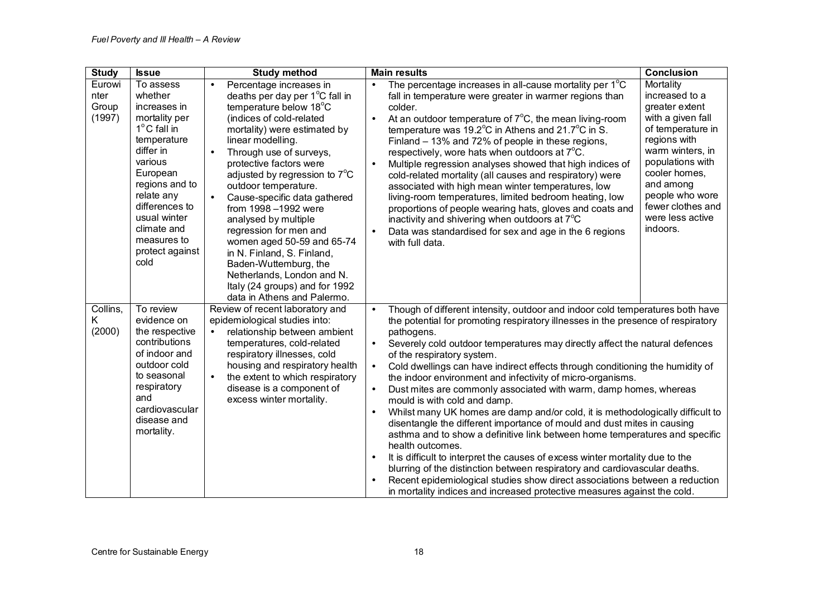| <b>Study</b>                      | <b>Issue</b>                                                                                                                                                                                                                                                 | <b>Study method</b>                                                                                                                                                                                                                                                                                                                                                                                                                                                                                                                                                                                                                            | <b>Main results</b>                                                                                                                                                                                                                                                                                                                                                                                                                                                                                                                                                                                                                                                                                                                                                                                                                                                                                                                                                                                                                                                                                                                                                                                                                   | <b>Conclusion</b>                                                                                                                                                                                                                                     |
|-----------------------------------|--------------------------------------------------------------------------------------------------------------------------------------------------------------------------------------------------------------------------------------------------------------|------------------------------------------------------------------------------------------------------------------------------------------------------------------------------------------------------------------------------------------------------------------------------------------------------------------------------------------------------------------------------------------------------------------------------------------------------------------------------------------------------------------------------------------------------------------------------------------------------------------------------------------------|---------------------------------------------------------------------------------------------------------------------------------------------------------------------------------------------------------------------------------------------------------------------------------------------------------------------------------------------------------------------------------------------------------------------------------------------------------------------------------------------------------------------------------------------------------------------------------------------------------------------------------------------------------------------------------------------------------------------------------------------------------------------------------------------------------------------------------------------------------------------------------------------------------------------------------------------------------------------------------------------------------------------------------------------------------------------------------------------------------------------------------------------------------------------------------------------------------------------------------------|-------------------------------------------------------------------------------------------------------------------------------------------------------------------------------------------------------------------------------------------------------|
| Eurowi<br>nter<br>Group<br>(1997) | To assess<br>whether<br>increases in<br>mortality per<br>$1^{\circ}$ C fall in<br>temperature<br>differ in<br>various<br>European<br>regions and to<br>relate any<br>differences to<br>usual winter<br>climate and<br>measures to<br>protect against<br>cold | Percentage increases in<br>$\bullet$<br>deaths per day per 1 <sup>°</sup> C fall in<br>temperature below 18°C<br>(indices of cold-related<br>mortality) were estimated by<br>linear modelling.<br>Through use of surveys,<br>$\bullet$<br>protective factors were<br>adjusted by regression to $7^{\circ}$ C<br>outdoor temperature.<br>Cause-specific data gathered<br>$\bullet$<br>from 1998-1992 were<br>analysed by multiple<br>regression for men and<br>women aged 50-59 and 65-74<br>in N. Finland, S. Finland,<br>Baden-Wuttemburg, the<br>Netherlands, London and N.<br>Italy (24 groups) and for 1992<br>data in Athens and Palermo. | The percentage increases in all-cause mortality per 1°C<br>$\bullet$<br>fall in temperature were greater in warmer regions than<br>colder.<br>At an outdoor temperature of $7^{\circ}$ C, the mean living-room<br>$\bullet$<br>temperature was 19.2 $^{\circ}$ C in Athens and 21.7 $^{\circ}$ C in S.<br>Finland - 13% and 72% of people in these regions,<br>respectively, wore hats when outdoors at 7°C.<br>Multiple regression analyses showed that high indices of<br>$\bullet$<br>cold-related mortality (all causes and respiratory) were<br>associated with high mean winter temperatures, low<br>living-room temperatures, limited bedroom heating, low<br>proportions of people wearing hats, gloves and coats and<br>inactivity and shivering when outdoors at 7°C<br>Data was standardised for sex and age in the 6 regions<br>with full data.                                                                                                                                                                                                                                                                                                                                                                           | Mortality<br>increased to a<br>greater extent<br>with a given fall<br>of temperature in<br>regions with<br>warm winters, in<br>populations with<br>cooler homes,<br>and among<br>people who wore<br>fewer clothes and<br>were less active<br>indoors. |
| Collins,<br>K<br>(2000)           | To review<br>evidence on<br>the respective<br>contributions<br>of indoor and<br>outdoor cold<br>to seasonal<br>respiratory<br>and<br>cardiovascular<br>disease and<br>mortality.                                                                             | Review of recent laboratory and<br>epidemiological studies into:<br>relationship between ambient<br>$\bullet$<br>temperatures, cold-related<br>respiratory illnesses, cold<br>housing and respiratory health<br>the extent to which respiratory<br>$\bullet$<br>disease is a component of<br>excess winter mortality.                                                                                                                                                                                                                                                                                                                          | Though of different intensity, outdoor and indoor cold temperatures both have<br>$\bullet$<br>the potential for promoting respiratory illnesses in the presence of respiratory<br>pathogens.<br>Severely cold outdoor temperatures may directly affect the natural defences<br>$\bullet$<br>of the respiratory system.<br>Cold dwellings can have indirect effects through conditioning the humidity of<br>$\bullet$<br>the indoor environment and infectivity of micro-organisms.<br>Dust mites are commonly associated with warm, damp homes, whereas<br>$\bullet$<br>mould is with cold and damp.<br>Whilst many UK homes are damp and/or cold, it is methodologically difficult to<br>$\bullet$<br>disentangle the different importance of mould and dust mites in causing<br>asthma and to show a definitive link between home temperatures and specific<br>health outcomes.<br>It is difficult to interpret the causes of excess winter mortality due to the<br>$\bullet$<br>blurring of the distinction between respiratory and cardiovascular deaths.<br>Recent epidemiological studies show direct associations between a reduction<br>$\bullet$<br>in mortality indices and increased protective measures against the cold. |                                                                                                                                                                                                                                                       |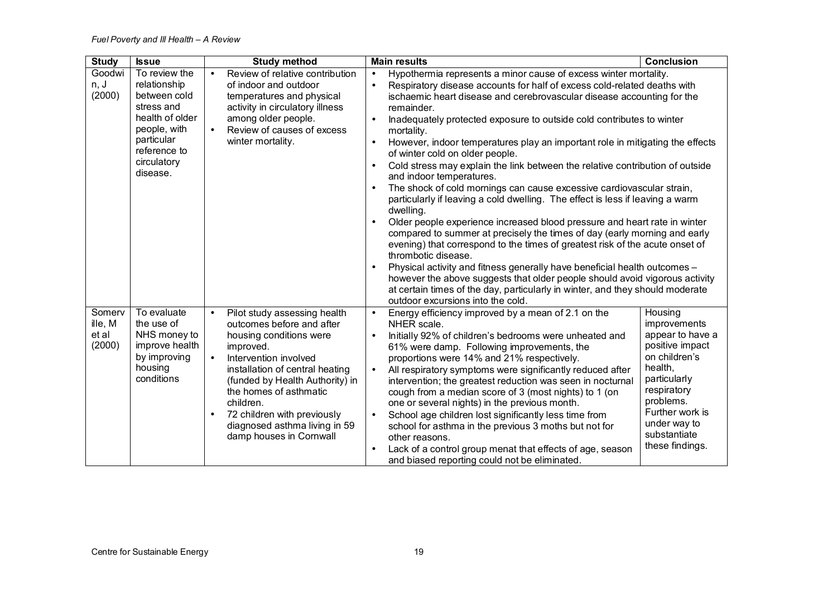| <b>Study</b>                         | <b>Issue</b>                                                                                         | <b>Study method</b>                                                                                                                                                                                                                                                                                                                                                       | <b>Main results</b>                                                                                                                                                                                                                                                                                                                                                                                                                                                                                                                                                                                                                                                                                               | <b>Conclusion</b>                                                                                                                                                                                            |
|--------------------------------------|------------------------------------------------------------------------------------------------------|---------------------------------------------------------------------------------------------------------------------------------------------------------------------------------------------------------------------------------------------------------------------------------------------------------------------------------------------------------------------------|-------------------------------------------------------------------------------------------------------------------------------------------------------------------------------------------------------------------------------------------------------------------------------------------------------------------------------------------------------------------------------------------------------------------------------------------------------------------------------------------------------------------------------------------------------------------------------------------------------------------------------------------------------------------------------------------------------------------|--------------------------------------------------------------------------------------------------------------------------------------------------------------------------------------------------------------|
| Goodwi<br>n, J<br>(2000)             | To review the<br>relationship<br>between cold<br>stress and                                          | Review of relative contribution<br>$\bullet$<br>of indoor and outdoor<br>temperatures and physical<br>activity in circulatory illness                                                                                                                                                                                                                                     | Hypothermia represents a minor cause of excess winter mortality.<br>$\bullet$<br>Respiratory disease accounts for half of excess cold-related deaths with<br>$\bullet$<br>ischaemic heart disease and cerebrovascular disease accounting for the<br>remainder.                                                                                                                                                                                                                                                                                                                                                                                                                                                    |                                                                                                                                                                                                              |
|                                      | health of older<br>people, with<br>particular                                                        | among older people.<br>Review of causes of excess<br>$\bullet$<br>winter mortality.                                                                                                                                                                                                                                                                                       | Inadequately protected exposure to outside cold contributes to winter<br>$\bullet$<br>mortality.                                                                                                                                                                                                                                                                                                                                                                                                                                                                                                                                                                                                                  |                                                                                                                                                                                                              |
|                                      | reference to<br>circulatory                                                                          |                                                                                                                                                                                                                                                                                                                                                                           | However, indoor temperatures play an important role in mitigating the effects<br>$\bullet$<br>of winter cold on older people.                                                                                                                                                                                                                                                                                                                                                                                                                                                                                                                                                                                     |                                                                                                                                                                                                              |
|                                      | disease.                                                                                             |                                                                                                                                                                                                                                                                                                                                                                           | Cold stress may explain the link between the relative contribution of outside<br>$\bullet$<br>and indoor temperatures.                                                                                                                                                                                                                                                                                                                                                                                                                                                                                                                                                                                            |                                                                                                                                                                                                              |
|                                      |                                                                                                      |                                                                                                                                                                                                                                                                                                                                                                           | The shock of cold mornings can cause excessive cardiovascular strain,<br>$\bullet$<br>particularly if leaving a cold dwelling. The effect is less if leaving a warm<br>dwelling.                                                                                                                                                                                                                                                                                                                                                                                                                                                                                                                                  |                                                                                                                                                                                                              |
|                                      |                                                                                                      |                                                                                                                                                                                                                                                                                                                                                                           | Older people experience increased blood pressure and heart rate in winter<br>$\bullet$<br>compared to summer at precisely the times of day (early morning and early<br>evening) that correspond to the times of greatest risk of the acute onset of<br>thrombotic disease.                                                                                                                                                                                                                                                                                                                                                                                                                                        |                                                                                                                                                                                                              |
|                                      |                                                                                                      |                                                                                                                                                                                                                                                                                                                                                                           | Physical activity and fitness generally have beneficial health outcomes -<br>however the above suggests that older people should avoid vigorous activity<br>at certain times of the day, particularly in winter, and they should moderate<br>outdoor excursions into the cold.                                                                                                                                                                                                                                                                                                                                                                                                                                    |                                                                                                                                                                                                              |
| Somerv<br>ille, M<br>et al<br>(2000) | To evaluate<br>the use of<br>NHS money to<br>improve health<br>by improving<br>housing<br>conditions | Pilot study assessing health<br>$\bullet$<br>outcomes before and after<br>housing conditions were<br>improved.<br>Intervention involved<br>$\bullet$<br>installation of central heating<br>(funded by Health Authority) in<br>the homes of asthmatic<br>children.<br>72 children with previously<br>$\bullet$<br>diagnosed asthma living in 59<br>damp houses in Cornwall | Energy efficiency improved by a mean of 2.1 on the<br>$\bullet$<br>NHER scale.<br>Initially 92% of children's bedrooms were unheated and<br>$\bullet$<br>61% were damp. Following improvements, the<br>proportions were 14% and 21% respectively.<br>All respiratory symptoms were significantly reduced after<br>$\bullet$<br>intervention; the greatest reduction was seen in nocturnal<br>cough from a median score of 3 (most nights) to 1 (on<br>one or several nights) in the previous month.<br>$\bullet$<br>School age children lost significantly less time from<br>school for asthma in the previous 3 moths but not for<br>other reasons.<br>Lack of a control group menat that effects of age, season | Housing<br>improvements<br>appear to have a<br>positive impact<br>on children's<br>health,<br>particularly<br>respiratory<br>problems.<br>Further work is<br>under way to<br>substantiate<br>these findings. |
|                                      |                                                                                                      |                                                                                                                                                                                                                                                                                                                                                                           | and biased reporting could not be eliminated.                                                                                                                                                                                                                                                                                                                                                                                                                                                                                                                                                                                                                                                                     |                                                                                                                                                                                                              |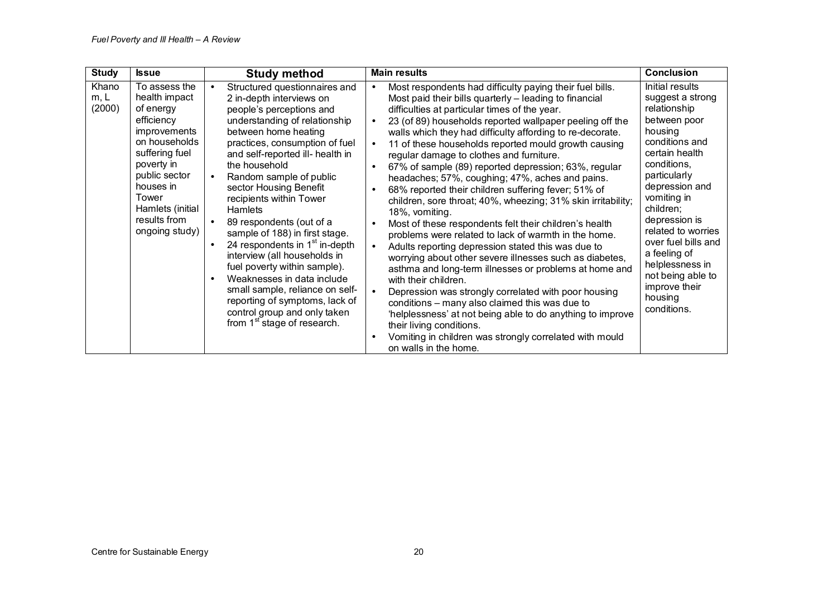| <b>Study</b>            | <b>Issue</b>                                                                                                                                                                                                                   | <b>Study method</b>                                                                                                                                                                                                                                                                                                                                                                                                                                                                                                                                                                                                                                                                     | <b>Main results</b>                                                                                                                                                                                                                                                                                                                                                                                                                                                                                                                                                                                                                                                                                                                                                                                                                                                                                                                                                                                                                                                                                                                                                                                                                                                                                                                                          | <b>Conclusion</b>                                                                                                                                                                                                                                                                                                                                                |
|-------------------------|--------------------------------------------------------------------------------------------------------------------------------------------------------------------------------------------------------------------------------|-----------------------------------------------------------------------------------------------------------------------------------------------------------------------------------------------------------------------------------------------------------------------------------------------------------------------------------------------------------------------------------------------------------------------------------------------------------------------------------------------------------------------------------------------------------------------------------------------------------------------------------------------------------------------------------------|--------------------------------------------------------------------------------------------------------------------------------------------------------------------------------------------------------------------------------------------------------------------------------------------------------------------------------------------------------------------------------------------------------------------------------------------------------------------------------------------------------------------------------------------------------------------------------------------------------------------------------------------------------------------------------------------------------------------------------------------------------------------------------------------------------------------------------------------------------------------------------------------------------------------------------------------------------------------------------------------------------------------------------------------------------------------------------------------------------------------------------------------------------------------------------------------------------------------------------------------------------------------------------------------------------------------------------------------------------------|------------------------------------------------------------------------------------------------------------------------------------------------------------------------------------------------------------------------------------------------------------------------------------------------------------------------------------------------------------------|
| Khano<br>m, L<br>(2000) | To assess the<br>health impact<br>of energy<br>efficiency<br><i>improvements</i><br>on households<br>suffering fuel<br>poverty in<br>public sector<br>houses in<br>Tower<br>Hamlets (initial<br>results from<br>ongoing study) | Structured questionnaires and<br>2 in-depth interviews on<br>people's perceptions and<br>understanding of relationship<br>between home heating<br>practices, consumption of fuel<br>and self-reported ill- health in<br>the household<br>Random sample of public<br>sector Housing Benefit<br>recipients within Tower<br><b>Hamlets</b><br>89 respondents (out of a<br>sample of 188) in first stage.<br>24 respondents in 1 <sup>st</sup> in-depth<br>interview (all households in<br>fuel poverty within sample).<br>Weaknesses in data include<br>small sample, reliance on self-<br>reporting of symptoms, lack of<br>control group and only taken<br>from $1st$ stage of research. | Most respondents had difficulty paying their fuel bills.<br>$\bullet$<br>Most paid their bills quarterly - leading to financial<br>difficulties at particular times of the year.<br>23 (of 89) households reported wallpaper peeling off the<br>$\bullet$<br>walls which they had difficulty affording to re-decorate.<br>11 of these households reported mould growth causing<br>$\bullet$<br>regular damage to clothes and furniture.<br>67% of sample (89) reported depression; 63%, regular<br>$\bullet$<br>headaches; 57%, coughing; 47%, aches and pains.<br>68% reported their children suffering fever; 51% of<br>children, sore throat; 40%, wheezing; 31% skin irritability;<br>18%, vomiting.<br>Most of these respondents felt their children's health<br>$\bullet$<br>problems were related to lack of warmth in the home.<br>Adults reporting depression stated this was due to<br>$\bullet$<br>worrying about other severe illnesses such as diabetes,<br>asthma and long-term illnesses or problems at home and<br>with their children.<br>Depression was strongly correlated with poor housing<br>conditions - many also claimed this was due to<br>'helplessness' at not being able to do anything to improve<br>their living conditions.<br>Vomiting in children was strongly correlated with mould<br>$\bullet$<br>on walls in the home. | Initial results<br>suggest a strong<br>relationship<br>between poor<br>housing<br>conditions and<br>certain health<br>conditions,<br>particularly<br>depression and<br>vomiting in<br>children;<br>depression is<br>related to worries<br>over fuel bills and<br>a feeling of<br>helplessness in<br>not being able to<br>improve their<br>housing<br>conditions. |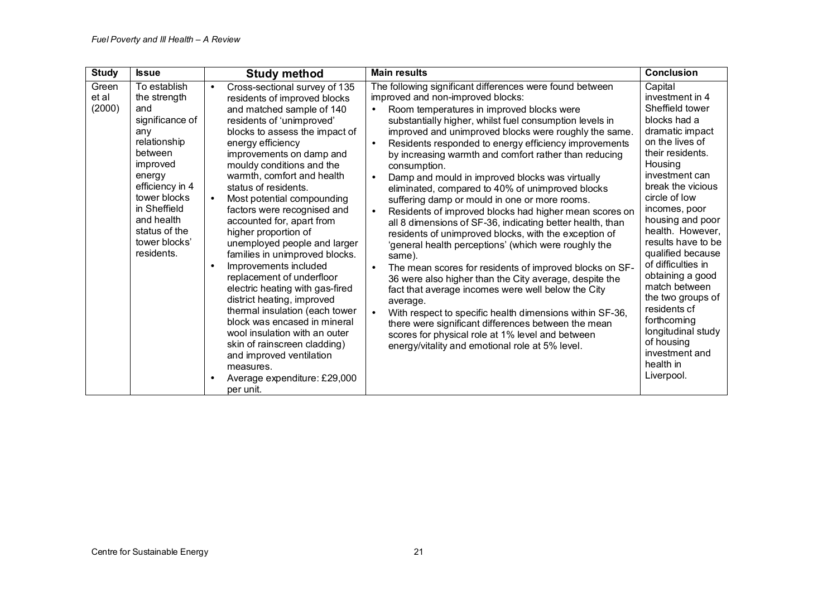| <b>Study</b>             | <b>Issue</b>                                                                                                                                                                                                                    | <b>Study method</b>                                                                                                                                                                                                                                                                                                                                                                                                                                                                                                                                                                                                                                                                                                                                                                                                                                                      | <b>Main results</b>                                                                                                                                                                                                                                                                                                                                                                                                                                                                                                                                                                                                                                                                                                                                                                                                                                                                                                                                                                                                                                                                                                                                                                                                                                                                                       | <b>Conclusion</b>                                                                                                                                                                                                                                                                                                                                                                                                                                                                              |
|--------------------------|---------------------------------------------------------------------------------------------------------------------------------------------------------------------------------------------------------------------------------|--------------------------------------------------------------------------------------------------------------------------------------------------------------------------------------------------------------------------------------------------------------------------------------------------------------------------------------------------------------------------------------------------------------------------------------------------------------------------------------------------------------------------------------------------------------------------------------------------------------------------------------------------------------------------------------------------------------------------------------------------------------------------------------------------------------------------------------------------------------------------|-----------------------------------------------------------------------------------------------------------------------------------------------------------------------------------------------------------------------------------------------------------------------------------------------------------------------------------------------------------------------------------------------------------------------------------------------------------------------------------------------------------------------------------------------------------------------------------------------------------------------------------------------------------------------------------------------------------------------------------------------------------------------------------------------------------------------------------------------------------------------------------------------------------------------------------------------------------------------------------------------------------------------------------------------------------------------------------------------------------------------------------------------------------------------------------------------------------------------------------------------------------------------------------------------------------|------------------------------------------------------------------------------------------------------------------------------------------------------------------------------------------------------------------------------------------------------------------------------------------------------------------------------------------------------------------------------------------------------------------------------------------------------------------------------------------------|
| Green<br>et al<br>(2000) | To establish<br>the strength<br>and<br>significance of<br>any<br>relationship<br>between<br>improved<br>energy<br>efficiency in 4<br>tower blocks<br>in Sheffield<br>and health<br>status of the<br>tower blocks'<br>residents. | Cross-sectional survey of 135<br>$\bullet$<br>residents of improved blocks<br>and matched sample of 140<br>residents of 'unimproved'<br>blocks to assess the impact of<br>energy efficiency<br>improvements on damp and<br>mouldy conditions and the<br>warmth, comfort and health<br>status of residents.<br>Most potential compounding<br>$\bullet$<br>factors were recognised and<br>accounted for, apart from<br>higher proportion of<br>unemployed people and larger<br>families in unimproved blocks.<br>Improvements included<br>$\bullet$<br>replacement of underfloor<br>electric heating with gas-fired<br>district heating, improved<br>thermal insulation (each tower<br>block was encased in mineral<br>wool insulation with an outer<br>skin of rainscreen cladding)<br>and improved ventilation<br>measures.<br>Average expenditure: £29,000<br>per unit. | The following significant differences were found between<br>improved and non-improved blocks:<br>Room temperatures in improved blocks were<br>$\bullet$<br>substantially higher, whilst fuel consumption levels in<br>improved and unimproved blocks were roughly the same.<br>Residents responded to energy efficiency improvements<br>$\bullet$<br>by increasing warmth and comfort rather than reducing<br>consumption.<br>Damp and mould in improved blocks was virtually<br>$\bullet$<br>eliminated, compared to 40% of unimproved blocks<br>suffering damp or mould in one or more rooms.<br>Residents of improved blocks had higher mean scores on<br>$\bullet$<br>all 8 dimensions of SF-36, indicating better health, than<br>residents of unimproved blocks, with the exception of<br>'general health perceptions' (which were roughly the<br>same).<br>The mean scores for residents of improved blocks on SF-<br>$\bullet$<br>36 were also higher than the City average, despite the<br>fact that average incomes were well below the City<br>average.<br>With respect to specific health dimensions within SF-36,<br>$\bullet$<br>there were significant differences between the mean<br>scores for physical role at 1% level and between<br>energy/vitality and emotional role at 5% level. | Capital<br>investment in 4<br>Sheffield tower<br>blocks had a<br>dramatic impact<br>on the lives of<br>their residents.<br>Housing<br>investment can<br>break the vicious<br>circle of low<br>incomes, poor<br>housing and poor<br>health. However,<br>results have to be<br>qualified because<br>of difficulties in<br>obtaining a good<br>match between<br>the two groups of<br>residents cf<br>forthcoming<br>longitudinal study<br>of housing<br>investment and<br>health in<br>Liverpool. |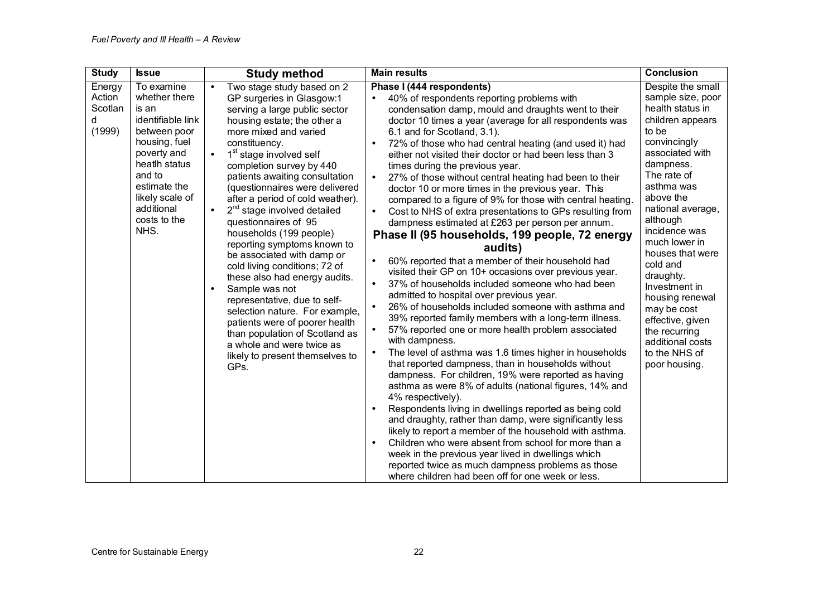| <b>Study</b>                               | <b>Issue</b>                                                                                                                                                                                                 | <b>Study method</b>                                                                                                                                                                                                                                                                                                                                                                                                                                                                                                                                                                                                                                                                                                                                                                                                                              | <b>Main results</b>                                                                                                                                                                                                                                                                                                                                                                                                                                                                                                                                                                                                                                                                                                                                                                                                                                                                                                                                                                                                                                                                                                                                                                                                                                                                                                                                                                                                                                                                                                                                                                                                                                                                                                                                                                                                                                                                                                                | <b>Conclusion</b>                                                                                                                                                                                                                                                                                                                                                                                                                               |
|--------------------------------------------|--------------------------------------------------------------------------------------------------------------------------------------------------------------------------------------------------------------|--------------------------------------------------------------------------------------------------------------------------------------------------------------------------------------------------------------------------------------------------------------------------------------------------------------------------------------------------------------------------------------------------------------------------------------------------------------------------------------------------------------------------------------------------------------------------------------------------------------------------------------------------------------------------------------------------------------------------------------------------------------------------------------------------------------------------------------------------|------------------------------------------------------------------------------------------------------------------------------------------------------------------------------------------------------------------------------------------------------------------------------------------------------------------------------------------------------------------------------------------------------------------------------------------------------------------------------------------------------------------------------------------------------------------------------------------------------------------------------------------------------------------------------------------------------------------------------------------------------------------------------------------------------------------------------------------------------------------------------------------------------------------------------------------------------------------------------------------------------------------------------------------------------------------------------------------------------------------------------------------------------------------------------------------------------------------------------------------------------------------------------------------------------------------------------------------------------------------------------------------------------------------------------------------------------------------------------------------------------------------------------------------------------------------------------------------------------------------------------------------------------------------------------------------------------------------------------------------------------------------------------------------------------------------------------------------------------------------------------------------------------------------------------------|-------------------------------------------------------------------------------------------------------------------------------------------------------------------------------------------------------------------------------------------------------------------------------------------------------------------------------------------------------------------------------------------------------------------------------------------------|
| Energy<br>Action<br>Scotlan<br>d<br>(1999) | To examine<br>whether there<br>is an<br>identifiable link<br>between poor<br>housing, fuel<br>poverty and<br>heath status<br>and to<br>estimate the<br>likely scale of<br>additional<br>costs to the<br>NHS. | Two stage study based on 2<br>GP surgeries in Glasgow:1<br>serving a large public sector<br>housing estate; the other a<br>more mixed and varied<br>constituency.<br>1 <sup>st</sup> stage involved self<br>$\bullet$<br>completion survey by 440<br>patients awaiting consultation<br>(questionnaires were delivered<br>after a period of cold weather).<br>2 <sup>nd</sup> stage involved detailed<br>$\bullet$<br>questionnaires of 95<br>households (199 people)<br>reporting symptoms known to<br>be associated with damp or<br>cold living conditions; 72 of<br>these also had energy audits.<br>Sample was not<br>$\bullet$<br>representative, due to self-<br>selection nature. For example,<br>patients were of poorer health<br>than population of Scotland as<br>a whole and were twice as<br>likely to present themselves to<br>GPs. | Phase I (444 respondents)<br>40% of respondents reporting problems with<br>condensation damp, mould and draughts went to their<br>doctor 10 times a year (average for all respondents was<br>6.1 and for Scotland, 3.1).<br>72% of those who had central heating (and used it) had<br>$\bullet$<br>either not visited their doctor or had been less than 3<br>times during the previous year.<br>27% of those without central heating had been to their<br>$\bullet$<br>doctor 10 or more times in the previous year. This<br>compared to a figure of 9% for those with central heating.<br>Cost to NHS of extra presentations to GPs resulting from<br>$\bullet$<br>dampness estimated at £263 per person per annum.<br>Phase II (95 households, 199 people, 72 energy<br>audits)<br>60% reported that a member of their household had<br>$\bullet$<br>visited their GP on 10+ occasions over previous year.<br>37% of households included someone who had been<br>$\bullet$<br>admitted to hospital over previous year.<br>26% of households included someone with asthma and<br>$\bullet$<br>39% reported family members with a long-term illness.<br>57% reported one or more health problem associated<br>with dampness.<br>The level of asthma was 1.6 times higher in households<br>$\bullet$<br>that reported dampness, than in households without<br>dampness. For children, 19% were reported as having<br>asthma as were 8% of adults (national figures, 14% and<br>4% respectively).<br>Respondents living in dwellings reported as being cold<br>$\bullet$<br>and draughty, rather than damp, were significantly less<br>likely to report a member of the household with asthma.<br>Children who were absent from school for more than a<br>$\bullet$<br>week in the previous year lived in dwellings which<br>reported twice as much dampness problems as those<br>where children had been off for one week or less. | Despite the small<br>sample size, poor<br>health status in<br>children appears<br>to be<br>convincingly<br>associated with<br>dampness.<br>The rate of<br>asthma was<br>above the<br>national average,<br>although<br>incidence was<br>much lower in<br>houses that were<br>cold and<br>draughty.<br>Investment in<br>housing renewal<br>may be cost<br>effective, given<br>the recurring<br>additional costs<br>to the NHS of<br>poor housing. |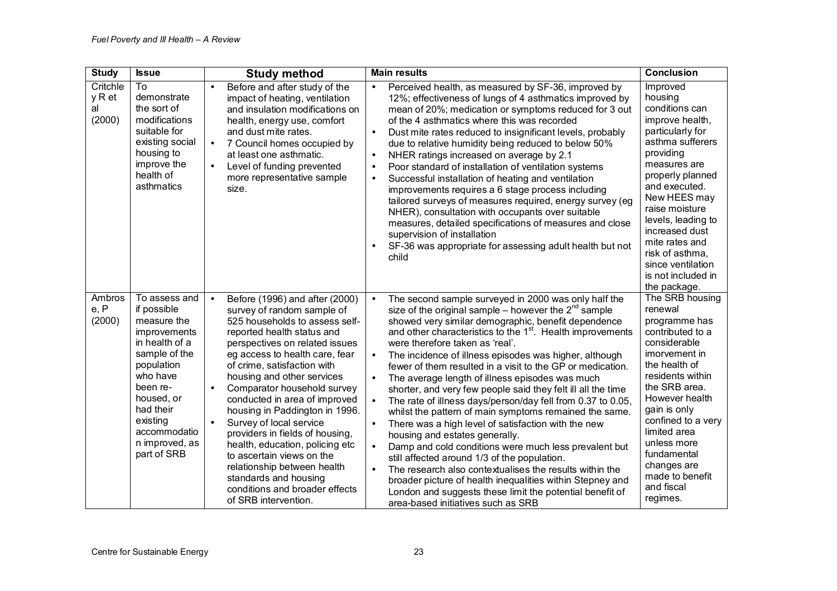| <b>Study</b>                       | <b>Issue</b>                                                                                                                                                                                                                 | <b>Study method</b>                                                                                                                                                                                                                                                                                                                                                                                                                                                                                                                                                                                                                                    | <b>Main results</b>                                                                                                                                                                                                                                                                                                                                                                                                                                                                                                                                                                                                                                                                                                                                                                                                                                                                                                                                                                                                                                                                                                                                                 | <b>Conclusion</b>                                                                                                                                                                                                                                                                                                                            |
|------------------------------------|------------------------------------------------------------------------------------------------------------------------------------------------------------------------------------------------------------------------------|--------------------------------------------------------------------------------------------------------------------------------------------------------------------------------------------------------------------------------------------------------------------------------------------------------------------------------------------------------------------------------------------------------------------------------------------------------------------------------------------------------------------------------------------------------------------------------------------------------------------------------------------------------|---------------------------------------------------------------------------------------------------------------------------------------------------------------------------------------------------------------------------------------------------------------------------------------------------------------------------------------------------------------------------------------------------------------------------------------------------------------------------------------------------------------------------------------------------------------------------------------------------------------------------------------------------------------------------------------------------------------------------------------------------------------------------------------------------------------------------------------------------------------------------------------------------------------------------------------------------------------------------------------------------------------------------------------------------------------------------------------------------------------------------------------------------------------------|----------------------------------------------------------------------------------------------------------------------------------------------------------------------------------------------------------------------------------------------------------------------------------------------------------------------------------------------|
| Critchle<br>y R et<br>al<br>(2000) | To<br>demonstrate<br>the sort of<br>modifications<br>suitable for<br>existing social<br>housing to<br>improve the<br>health of<br>asthmatics                                                                                 | Before and after study of the<br>impact of heating, ventilation<br>and insulation modifications on<br>health, energy use, comfort<br>and dust mite rates.<br>7 Council homes occupied by<br>$\bullet$<br>at least one asthmatic.<br>Level of funding prevented<br>$\bullet$<br>more representative sample<br>size.                                                                                                                                                                                                                                                                                                                                     | Perceived health, as measured by SF-36, improved by<br>$\bullet$<br>12%; effectiveness of lungs of 4 asthmatics improved by<br>mean of 20%; medication or symptoms reduced for 3 out<br>of the 4 asthmatics where this was recorded<br>Dust mite rates reduced to insignificant levels, probably<br>$\bullet$<br>due to relative humidity being reduced to below 50%<br>NHER ratings increased on average by 2.1<br>$\bullet$<br>Poor standard of installation of ventilation systems<br>$\bullet$<br>Successful installation of heating and ventilation<br>$\bullet$<br>improvements requires a 6 stage process including<br>tailored surveys of measures required, energy survey (eg<br>NHER), consultation with occupants over suitable<br>measures, detailed specifications of measures and close<br>supervision of installation<br>SF-36 was appropriate for assessing adult health but not<br>$\bullet$<br>child                                                                                                                                                                                                                                              | Improved<br>housing<br>conditions can<br>improve health,<br>particularly for<br>asthma sufferers<br>providina<br>measures are<br>properly planned<br>and executed.<br>New HEES may<br>raise moisture<br>levels, leading to<br>increased dust<br>mite rates and<br>risk of asthma,<br>since ventilation<br>is not included in<br>the package. |
| Ambros<br>e, P<br>(2000)           | To assess and<br>if possible<br>measure the<br>improvements<br>in health of a<br>sample of the<br>population<br>who have<br>been re-<br>housed, or<br>had their<br>existing<br>accommodatio<br>n improved, as<br>part of SRB | Before (1996) and after (2000)<br>$\bullet$<br>survey of random sample of<br>525 households to assess self-<br>reported health status and<br>perspectives on related issues<br>eg access to health care, fear<br>of crime, satisfaction with<br>housing and other services<br>Comparator household survey<br>$\bullet$<br>conducted in area of improved<br>housing in Paddington in 1996.<br>Survey of local service<br>$\bullet$<br>providers in fields of housing,<br>health, education, policing etc<br>to ascertain views on the<br>relationship between health<br>standards and housing<br>conditions and broader effects<br>of SRB intervention. | The second sample surveyed in 2000 was only half the<br>$\bullet$<br>size of the original sample – however the $2^{nd}$ sample<br>showed very similar demographic, benefit dependence<br>and other characteristics to the 1 <sup>st</sup> . Health improvements<br>were therefore taken as 'real'.<br>The incidence of illness episodes was higher, although<br>$\bullet$<br>fewer of them resulted in a visit to the GP or medication.<br>The average length of illness episodes was much<br>$\bullet$<br>shorter, and very few people said they felt ill all the time<br>The rate of illness days/person/day fell from 0.37 to 0.05,<br>whilst the pattern of main symptoms remained the same.<br>$\bullet$<br>There was a high level of satisfaction with the new<br>housing and estates generally.<br>Damp and cold conditions were much less prevalent but<br>$\bullet$<br>still affected around 1/3 of the population.<br>The research also contextualises the results within the<br>$\bullet$<br>broader picture of health inequalities within Stepney and<br>London and suggests these limit the potential benefit of<br>area-based initiatives such as SRB | The SRB housing<br>renewal<br>programme has<br>contributed to a<br>considerable<br>imorvement in<br>the health of<br>residents within<br>the SRB area.<br>However health<br>gain is only<br>confined to a very<br>limited area<br>unless more<br>fundamental<br>changes are<br>made to benefit<br>and fiscal<br>regimes.                     |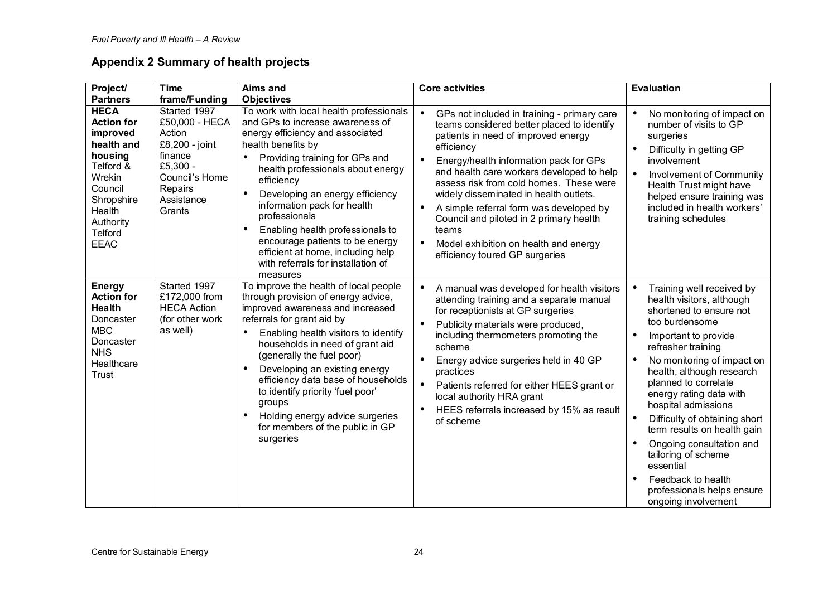# **Appendix 2 Summary of health projects**

| Project/                                                                                                                                                                                  | <b>Time</b>                                                                                                                                             | Aims and                                                                                                                                                                                                                                                                                                                                                                                                                                                                                                                   | <b>Core activities</b>                                                                                                                                                                                                                                                                                                                                                                                                                                                                                                                      | <b>Evaluation</b>                                                                                                                                                                                                                                                                                                                                                                                                                                                                                                                        |
|-------------------------------------------------------------------------------------------------------------------------------------------------------------------------------------------|---------------------------------------------------------------------------------------------------------------------------------------------------------|----------------------------------------------------------------------------------------------------------------------------------------------------------------------------------------------------------------------------------------------------------------------------------------------------------------------------------------------------------------------------------------------------------------------------------------------------------------------------------------------------------------------------|---------------------------------------------------------------------------------------------------------------------------------------------------------------------------------------------------------------------------------------------------------------------------------------------------------------------------------------------------------------------------------------------------------------------------------------------------------------------------------------------------------------------------------------------|------------------------------------------------------------------------------------------------------------------------------------------------------------------------------------------------------------------------------------------------------------------------------------------------------------------------------------------------------------------------------------------------------------------------------------------------------------------------------------------------------------------------------------------|
| <b>Partners</b><br><b>HECA</b><br><b>Action for</b><br>improved<br>health and<br>housing<br>Telford &<br>Wrekin<br>Council<br>Shropshire<br>Health<br>Authority<br>Telford<br><b>EEAC</b> | frame/Funding<br>Started 1997<br>£50,000 - HECA<br>Action<br>£8,200 - joint<br>finance<br>£5,300 -<br>Council's Home<br>Repairs<br>Assistance<br>Grants | <b>Objectives</b><br>To work with local health professionals<br>and GPs to increase awareness of<br>energy efficiency and associated<br>health benefits by<br>Providing training for GPs and<br>health professionals about energy<br>efficiency<br>Developing an energy efficiency<br>$\bullet$<br>information pack for health<br>professionals<br>Enabling health professionals to<br>$\bullet$<br>encourage patients to be energy<br>efficient at home, including help<br>with referrals for installation of<br>measures | GPs not included in training - primary care<br>$\bullet$<br>teams considered better placed to identify<br>patients in need of improved energy<br>efficiency<br>Energy/health information pack for GPs<br>and health care workers developed to help<br>assess risk from cold homes. These were<br>widely disseminated in health outlets.<br>A simple referral form was developed by<br>$\bullet$<br>Council and piloted in 2 primary health<br>teams<br>Model exhibition on health and energy<br>$\bullet$<br>efficiency toured GP surgeries | No monitoring of impact on<br>number of visits to GP<br>surgeries<br>Difficulty in getting GP<br>involvement<br>Involvement of Community<br>$\bullet$<br>Health Trust might have<br>helped ensure training was<br>included in health workers'<br>training schedules                                                                                                                                                                                                                                                                      |
| <b>Energy</b><br><b>Action for</b><br><b>Health</b><br>Doncaster<br><b>MBC</b><br>Doncaster<br><b>NHS</b><br>Healthcare<br>Trust                                                          | Started 1997<br>£172,000 from<br><b>HECA Action</b><br>(for other work<br>as well)                                                                      | To improve the health of local people<br>through provision of energy advice,<br>improved awareness and increased<br>referrals for grant aid by<br>Enabling health visitors to identify<br>٠<br>households in need of grant aid<br>(generally the fuel poor)<br>Developing an existing energy<br>$\bullet$<br>efficiency data base of households<br>to identify priority 'fuel poor'<br>groups<br>Holding energy advice surgeries<br>$\bullet$<br>for members of the public in GP<br>surgeries                              | $\bullet$<br>A manual was developed for health visitors<br>attending training and a separate manual<br>for receptionists at GP surgeries<br>Publicity materials were produced,<br>including thermometers promoting the<br>scheme<br>Energy advice surgeries held in 40 GP<br>practices<br>Patients referred for either HEES grant or<br>$\bullet$<br>local authority HRA grant<br>HEES referrals increased by 15% as result<br>$\bullet$<br>of scheme                                                                                       | Training well received by<br>$\bullet$<br>health visitors, although<br>shortened to ensure not<br>too burdensome<br>Important to provide<br>$\bullet$<br>refresher training<br>No monitoring of impact on<br>health, although research<br>planned to correlate<br>energy rating data with<br>hospital admissions<br>Difficulty of obtaining short<br>$\bullet$<br>term results on health gain<br>Ongoing consultation and<br>tailoring of scheme<br>essential<br>Feedback to health<br>professionals helps ensure<br>ongoing involvement |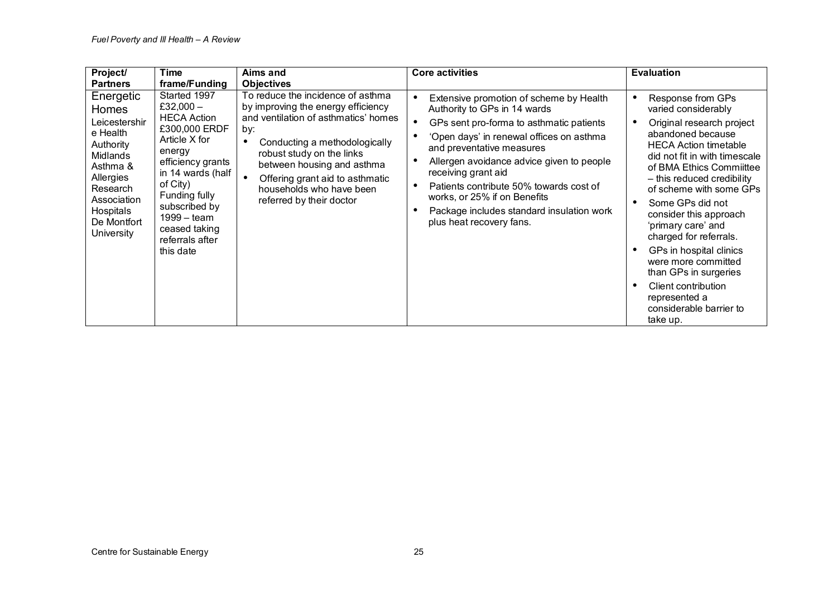| Project/<br><b>Partners</b>                                                                                                                                                          | <b>Time</b><br>frame/Funding                                                                                                                                                                                                                                   | Aims and<br><b>Objectives</b>                                                                                                                                                                                                                                                                                              | <b>Core activities</b>                                                                                                                                                                                                                                                                                                                                                                                               | <b>Evaluation</b>                                                                                                                                                                                                                                                                                                                                                                                                                                                                                       |
|--------------------------------------------------------------------------------------------------------------------------------------------------------------------------------------|----------------------------------------------------------------------------------------------------------------------------------------------------------------------------------------------------------------------------------------------------------------|----------------------------------------------------------------------------------------------------------------------------------------------------------------------------------------------------------------------------------------------------------------------------------------------------------------------------|----------------------------------------------------------------------------------------------------------------------------------------------------------------------------------------------------------------------------------------------------------------------------------------------------------------------------------------------------------------------------------------------------------------------|---------------------------------------------------------------------------------------------------------------------------------------------------------------------------------------------------------------------------------------------------------------------------------------------------------------------------------------------------------------------------------------------------------------------------------------------------------------------------------------------------------|
| Energetic<br><b>Homes</b><br>Leicestershir<br>e Health<br>Authority<br><b>Midlands</b><br>Asthma &<br>Allergies<br>Research<br>Association<br>Hospitals<br>De Montfort<br>University | Started 1997<br>£32,000 $-$<br><b>HECA Action</b><br>£300,000 ERDF<br>Article X for<br>energy<br>efficiency grants<br>in 14 wards (half<br>of City)<br>Funding fully<br>subscribed by<br>$1999 - \text{team}$<br>ceased taking<br>referrals after<br>this date | To reduce the incidence of asthma<br>by improving the energy efficiency<br>and ventilation of asthmatics' homes<br>by:<br>Conducting a methodologically<br>$\bullet$<br>robust study on the links<br>between housing and asthma<br>Offering grant aid to asthmatic<br>households who have been<br>referred by their doctor | Extensive promotion of scheme by Health<br>Authority to GPs in 14 wards<br>GPs sent pro-forma to asthmatic patients<br>'Open days' in renewal offices on asthma<br>and preventative measures<br>Allergen avoidance advice given to people<br>receiving grant aid<br>Patients contribute 50% towards cost of<br>works, or 25% if on Benefits<br>Package includes standard insulation work<br>plus heat recovery fans. | Response from GPs<br>varied considerably<br>Original research project<br>abandoned because<br><b>HECA Action timetable</b><br>did not fit in with timescale<br>of BMA Ethics Committee<br>- this reduced credibility<br>of scheme with some GPs<br>Some GPs did not<br>consider this approach<br>'primary care' and<br>charged for referrals.<br>GPs in hospital clinics<br>were more committed<br>than GPs in surgeries<br>Client contribution<br>represented a<br>considerable barrier to<br>take up. |